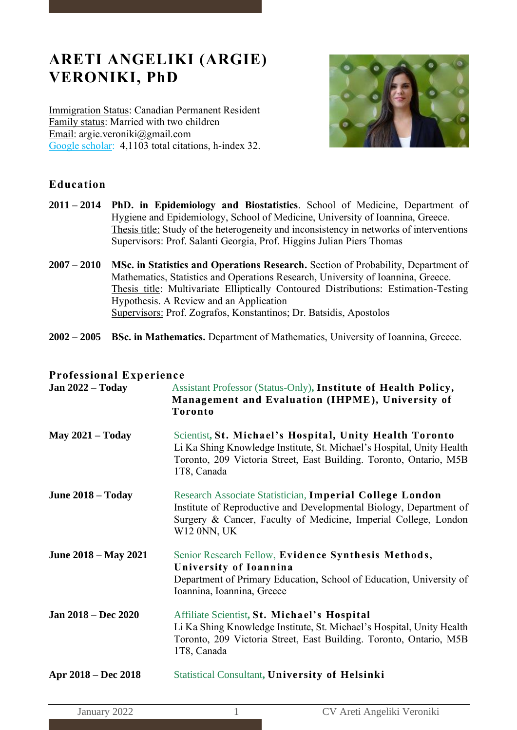# **ARETI ANGELIKI (ARGIE) VERONIKI, PhD**

Immigration Status: Canadian Permanent Resident Family status: Married with two children Email: [argie.veroniki@gmail.com](mailto:argie.veroniki@gmail.com) [Google scholar:](https://scholar.google.com/citations?user=whLnsaoAAAAJ&hl=enhttps://scholar.google.com/citations?user=whLnsaoAAAAJ&hl=en) 4,1103 total citations, h-index 32.



# **Education**

- **2011 – 2014 PhD. in Epidemiology and Biostatistics**. School of Medicine, Department of Hygiene and Epidemiology, School of Medicine, University of Ioannina, Greece. Thesis title: Study of the heterogeneity and inconsistency in networks of interventions Supervisors: Prof. Salanti Georgia, Prof. Higgins Julian Piers Thomas
- **2007 – 2010 MSc. in Statistics and Operations Research.** Section of Probability, Department of Mathematics, Statistics and Operations Research, University of Ioannina, Greece. Thesis title: Multivariate Elliptically Contoured Distributions: Estimation-Testing Hypothesis. A Review and an Application Supervisors: Prof. Zografos, Konstantinos; Dr. Batsidis, Apostolos
- **2002 – 2005 BSc. in Mathematics.** Department of Mathematics, University of Ioannina, Greece.

# **Professional Experience**

| Jan $2022 - Today$      | Assistant Professor (Status-Only), Institute of Health Policy,<br>Management and Evaluation (IHPME), University of<br><b>Toronto</b>                                                                                  |
|-------------------------|-----------------------------------------------------------------------------------------------------------------------------------------------------------------------------------------------------------------------|
| <b>May 2021 - Today</b> | Scientist, St. Michael's Hospital, Unity Health Toronto<br>Li Ka Shing Knowledge Institute, St. Michael's Hospital, Unity Health<br>Toronto, 209 Victoria Street, East Building. Toronto, Ontario, M5B<br>1T8, Canada |
| June $2018 - Today$     | Research Associate Statistician, Imperial College London<br>Institute of Reproductive and Developmental Biology, Department of<br>Surgery & Cancer, Faculty of Medicine, Imperial College, London<br>W12 0NN, UK      |
| June 2018 – May 2021    | Senior Research Fellow, Evidence Synthesis Methods,<br>University of Ioannina<br>Department of Primary Education, School of Education, University of<br>Ioannina, Ioannina, Greece                                    |
| Jan 2018 – Dec 2020     | Affiliate Scientist, St. Michael's Hospital<br>Li Ka Shing Knowledge Institute, St. Michael's Hospital, Unity Health<br>Toronto, 209 Victoria Street, East Building. Toronto, Ontario, M5B<br>1T8, Canada             |
| Apr 2018 – Dec 2018     | Statistical Consultant, University of Helsinki                                                                                                                                                                        |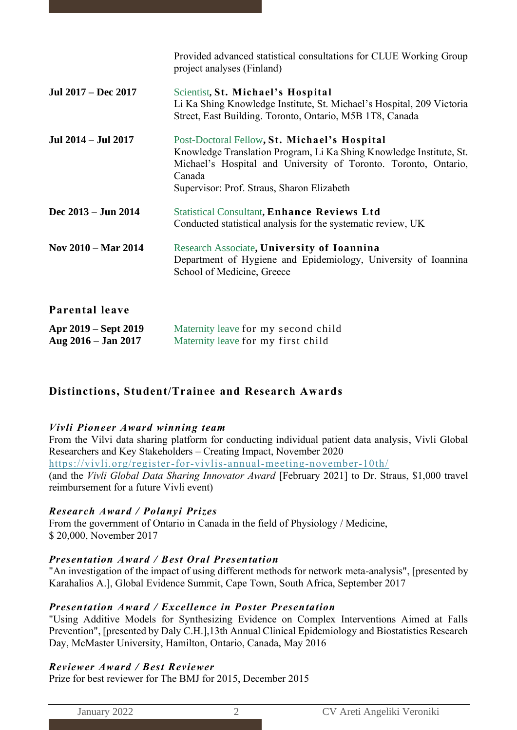|                                               | Provided advanced statistical consultations for CLUE Working Group<br>project analyses (Finland)                                                                                                                                               |
|-----------------------------------------------|------------------------------------------------------------------------------------------------------------------------------------------------------------------------------------------------------------------------------------------------|
| Jul 2017 – Dec 2017                           | Scientist, St. Michael's Hospital<br>Li Ka Shing Knowledge Institute, St. Michael's Hospital, 209 Victoria<br>Street, East Building. Toronto, Ontario, M5B 1T8, Canada                                                                         |
| Jul 2014 - Jul 2017                           | Post-Doctoral Fellow, St. Michael's Hospital<br>Knowledge Translation Program, Li Ka Shing Knowledge Institute, St.<br>Michael's Hospital and University of Toronto. Toronto, Ontario,<br>Canada<br>Supervisor: Prof. Straus, Sharon Elizabeth |
| Dec 2013 – Jun 2014                           | <b>Statistical Consultant, Enhance Reviews Ltd</b><br>Conducted statistical analysis for the systematic review, UK                                                                                                                             |
| Nov 2010 – Mar 2014                           | Research Associate, University of Ioannina<br>Department of Hygiene and Epidemiology, University of Ioannina<br>School of Medicine, Greece                                                                                                     |
| Parental leave                                |                                                                                                                                                                                                                                                |
| Apr 2019 – Sept 2019<br>Aug $2016 - Jan 2017$ | Maternity leave for my second child<br>Maternity leave for my first child                                                                                                                                                                      |

# **Distinctions, Student/Trainee and Research Awards**

### *Vivli Pioneer Award winning team*

From the Vilvi data sharing platform for conducting individual patient data analysis, Vivli Global Researchers and Key Stakeholders – Creating Impact, November 2020 <https://vivli.org/register-for-vivlis-annual-meeting-november-10th/> (and the *Vivli Global Data Sharing Innovator Award* [February 2021] to Dr. Straus, \$1,000 travel reimbursement for a future Vivli event)

# *Research Award / Polanyi Prizes*

From the government of Ontario in Canada in the field of Physiology / Medicine, \$ 20,000, November 2017

# *Presentation Award / Best Oral Presentation*

"An investigation of the impact of using different methods for network meta-analysis", [presented by Karahalios A.], Global Evidence Summit, Cape Town, South Africa, September 2017

### *Presentation Award / Excellence in Poster Presentation*

"Using Additive Models for Synthesizing Evidence on Complex Interventions Aimed at Falls Prevention", [presented by Daly C.H.],13th Annual Clinical Epidemiology and Biostatistics Research Day, McMaster University, Hamilton, Ontario, Canada, May 2016

# *Reviewer Award / Best Reviewer*

Prize for best reviewer for The BMJ for 2015, December 2015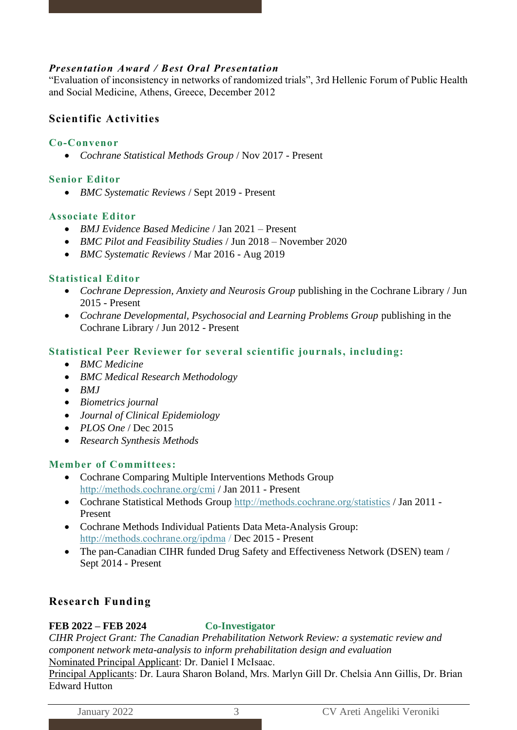# *Presentation Award / Best Oral Presentation*

"Evaluation of inconsistency in networks of randomized trials", 3rd Hellenic Forum of Public Health and Social Medicine, Athens, Greece, December 2012

# **Scientific Activities**

# **Co-Convenor**

• *Cochrane Statistical Methods Group* / Nov 2017 - Present

### **Senior Editor**

• *BMC Systematic Reviews* / Sept 2019 - Present

### **Associate Editor**

- *BMJ Evidence Based Medicine* / Jan 2021 Present
- *BMC Pilot and Feasibility Studies* / Jun 2018 November 2020
- *BMC Systematic Reviews* / Mar 2016 Aug 2019

# **Statistical Editor**

- *Cochrane Depression, Anxiety and Neurosis Group* publishing in the Cochrane Library / Jun 2015 - Present
- *Cochrane Developmental, Psychosocial and Learning Problems Group* publishing in the Cochrane Library / Jun 2012 - Present

# **Statistical Peer Reviewer for several scientific journals, including:**

- *BMC Medicine*
- *BMC Medical Research Methodology*
- *BMJ*
- *Biometrics journal*
- *Journal of Clinical Epidemiology*
- *PLOS One* / Dec 2015
- *Research Synthesis Methods*

# **Member of Committees:**

- Cochrane Comparing Multiple Interventions Methods Group <http://methods.cochrane.org/cmi> / Jan 2011 - Present
- Cochrane Statistical Methods Group <http://methods.cochrane.org/statistics> / Jan 2011 Present
- Cochrane Methods Individual Patients Data Meta-Analysis Group: [http://methods.cochrane.org/ipdma](http://methods.cochrane.org/ipdma%20/) / Dec 2015 - Present
- The pan-Canadian CIHR funded Drug Safety and Effectiveness Network (DSEN) team / Sept 2014 - Present

# **Research Funding**

# **FEB 2022 – FEB 2024 Co-Investigator**

*CIHR Project Grant: The Canadian Prehabilitation Network Review: a systematic review and component network meta-analysis to inform prehabilitation design and evaluation* Nominated Principal Applicant: Dr. Daniel I McIsaac.

Principal Applicants: Dr. Laura Sharon Boland, Mrs. Marlyn Gill Dr. Chelsia Ann Gillis, Dr. Brian Edward Hutton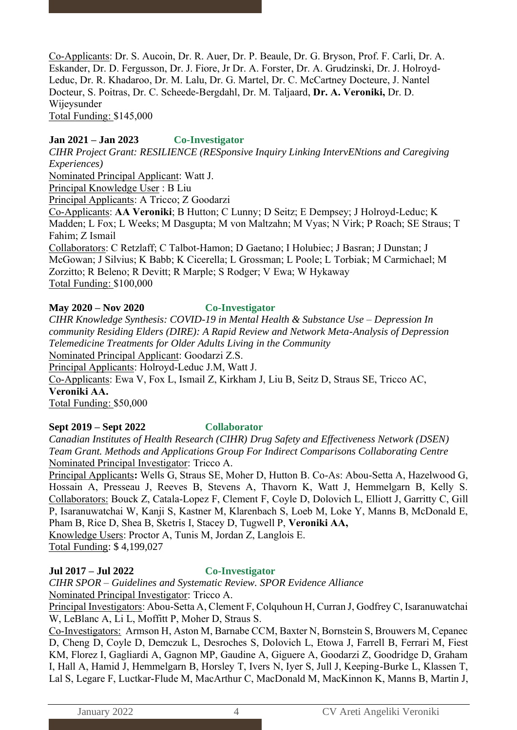Co-Applicants: Dr. S. Aucoin, Dr. R. Auer, Dr. P. Beaule, Dr. G. Bryson, Prof. F. Carli, Dr. A. Eskander, Dr. D. Fergusson, Dr. J. Fiore, Jr Dr. A. Forster, Dr. A. Grudzinski, Dr. J. Holroyd-Leduc, Dr. R. Khadaroo, Dr. M. Lalu, Dr. G. Martel, Dr. C. McCartney Docteure, J. Nantel Docteur, S. Poitras, Dr. C. Scheede-Bergdahl, Dr. M. Taljaard, **Dr. A. Veroniki,** Dr. D. Wijeysunder Total Funding: \$145,000

### **Jan 2021 – Jan 2023 Co-Investigator**

*CIHR Project Grant: RESILIENCE (RESponsive Inquiry Linking IntervENtions and Caregiving Experiences)*

Nominated Principal Applicant: Watt J.

Principal Knowledge User : B Liu

Principal Applicants: A Tricco; Z Goodarzi

Co-Applicants: **AA Veroniki**; B Hutton; C Lunny; D Seitz; E Dempsey; J Holroyd-Leduc; K Madden; L Fox; L Weeks; M Dasgupta; M von Maltzahn; M Vyas; N Virk; P Roach; SE Straus; T Fahim; Z Ismail

Collaborators: C Retzlaff; C Talbot-Hamon; D Gaetano; I Holubiec; J Basran; J Dunstan; J McGowan; J Silvius; K Babb; K Cicerella; L Grossman; L Poole; L Torbiak; M Carmichael; M Zorzitto; R Beleno; R Devitt; R Marple; S Rodger; V Ewa; W Hykaway Total Funding: \$100,000

#### **May 2020 – Nov 2020 Co-Investigator**

*CIHR Knowledge Synthesis: COVID-19 in Mental Health & Substance Use – Depression In community Residing Elders (DIRE): A Rapid Review and Network Meta-Analysis of Depression Telemedicine Treatments for Older Adults Living in the Community* Nominated Principal Applicant: Goodarzi Z.S. Principal Applicants: Holroyd-Leduc J.M, Watt J. Co-Applicants: Ewa V, Fox L, Ismail Z, Kirkham J, Liu B, Seitz D, Straus SE, Tricco AC, **Veroniki AA.**

Total Funding: \$50,000

### **Sept 2019 – Sept 2022 Collaborator**

*Canadian Institutes of Health Research (CIHR) Drug Safety and Effectiveness Network (DSEN) Team Grant. Methods and Applications Group For Indirect Comparisons Collaborating Centre* Nominated Principal Investigator: Tricco A.

Principal Applicants**:** Wells G, Straus SE, Moher D, Hutton B. Co-As: Abou-Setta A, Hazelwood G, Hossain A, Presseau J, Reeves B, Stevens A, Thavorn K, Watt J, Hemmelgarn B, Kelly S. Collaborators: Bouck Z, Catala-Lopez F, Clement F, Coyle D, Dolovich L, Elliott J, Garritty C, Gill P, Isaranuwatchai W, Kanji S, Kastner M, Klarenbach S, Loeb M, Loke Y, Manns B, McDonald E, Pham B, Rice D, Shea B, Sketris I, Stacey D, Tugwell P, **Veroniki AA,** Knowledge Users: Proctor A, Tunis M, Jordan Z, Langlois E. Total Funding: \$ 4,199,027

### **Jul 2017 – Jul 2022 Co-Investigator**

*CIHR SPOR – Guidelines and Systematic Review. SPOR Evidence Alliance* Nominated Principal Investigator: Tricco A.

Principal Investigators: Abou-Setta A, Clement F, Colquhoun H, Curran J, Godfrey C, Isaranuwatchai W, LeBlanc A, Li L, Moffitt P, Moher D, Straus S.

Co-Investigators: Armson H, Aston M, Barnabe CCM, Baxter N, Bornstein S, Brouwers M, Cepanec D, Cheng D, Coyle D, Demczuk L, Desroches S, Dolovich L, Etowa J, Farrell B, Ferrari M, Fiest KM, Florez I, Gagliardi A, Gagnon MP, Gaudine A, Giguere A, Goodarzi Z, Goodridge D, Graham I, Hall A, Hamid J, Hemmelgarn B, Horsley T, Ivers N, Iyer S, Jull J, Keeping-Burke L, Klassen T, Lal S, Legare F, Luctkar-Flude M, MacArthur C, MacDonald M, MacKinnon K, Manns B, Martin J,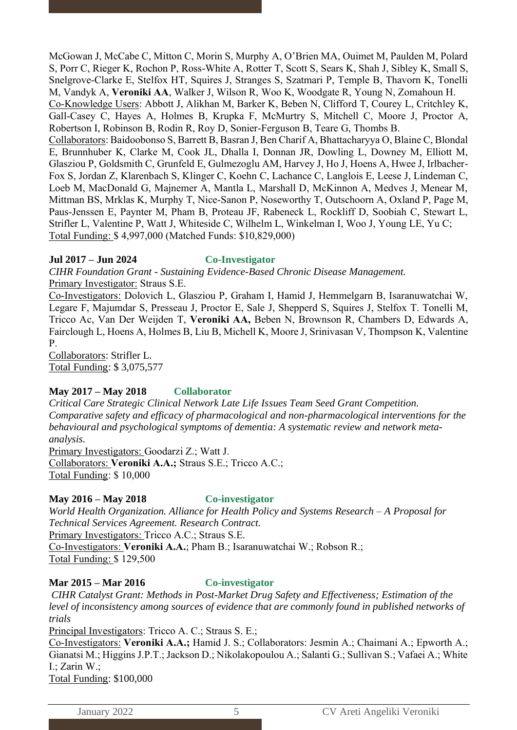McGowan J, McCabe C, Mitton C, Morin S, Murphy A, O'Brien MA, Ouimet M, Paulden M, Polard S, Porr C, Rieger K, Rochon P, Ross-White A, Rotter T, Scott S, Sears K, Shah J, Sibley K, Small S, Snelgrove-Clarke E, Stelfox HT, Squires J, Stranges S, Szatmari P, Temple B, Thavorn K, Tonelli M, Vandyk A, **Veroniki AA**, Walker J, Wilson R, Woo K, Woodgate R, Young N, Zomahoun H. Co-Knowledge Users: Abbott J, Alikhan M, Barker K, Beben N, Clifford T, Courey L, Critchley K, Gall-Casey C, Hayes A, Holmes B, Krupka F, McMurtry S, Mitchell C, Moore J, Proctor A, Robertson I, Robinson B, Rodin R, Roy D, Sonier-Ferguson B, Teare G, Thombs B. Collaborators: Baidoobonso S, Barrett B, Basran J, Ben Charif A, Bhattacharyya O, Blaine C, Blondal E, Brunnhuber K, Clarke M, Cook JL, Dhalla I, Donnan JR, Dowling L, Downey M, Elliott M, Glasziou P, Goldsmith C, Grunfeld E, Gulmezoglu AM, Harvey J, Ho J, Hoens A, Hwee J, Irlbacher-Fox S, Jordan Z, Klarenbach S, Klinger C, Koehn C, Lachance C, Langlois E, Leese J, Lindeman C, Loeb M, MacDonald G, Majnemer A, Mantla L, Marshall D, McKinnon A, Medves J, Menear M, Mittman BS, Mrklas K, Murphy T, Nice-Sanon P, Noseworthy T, Outschoorn A, Oxland P, Page M, Paus-Jenssen E, Paynter M, Pham B, Proteau JF, Rabeneck L, Rockliff D, Soobiah C, Stewart L, Strifler L, Valentine P, Watt J, Whiteside C, Wilhelm L, Winkelman I, Woo J, Young LE, Yu C; Total Funding: \$ 4,997,000 (Matched Funds: \$10,829,000)

### **Jul 2017 – Jun 2024 Co-Investigator**

*CIHR Foundation Grant - Sustaining Evidence-Based Chronic Disease Management.*  Primary Investigator: Straus S.E.

Co-Investigators: Dolovich L, Glasziou P, Graham I, Hamid J, Hemmelgarn B, Isaranuwatchai W, Legare F, Majumdar S, Presseau J, Proctor E, Sale J, Shepperd S, Squires J, Stelfox T. Tonelli M, Tricco Ac, Van Der Weijden T, **Veroniki AA,** Beben N, Brownson R, Chambers D, Edwards A, Fairclough L, Hoens A, Holmes B, Liu B, Michell K, Moore J, Srinivasan V, Thompson K, Valentine P.

Collaborators: Strifler L. Total Funding: \$ 3,075,577

# **May 2017 – May 2018 Collaborator**

*Critical Care Strategic Clinical Network Late Life Issues Team Seed Grant Competition. Comparative safety and efficacy of pharmacological and non-pharmacological interventions for the behavioural and psychological symptoms of dementia: A systematic review and network metaanalysis.*

Primary Investigators: Goodarzi Z.; Watt J. Collaborators: **Veroniki A.A.;** Straus S.E.; Tricco A.C.; Total Funding: \$ 10,000

# **May 2016 – May 2018 Co-investigator**

*World Health Organization. Alliance for Health Policy and Systems Research – A Proposal for Technical Services Agreement. Research Contract.* 

Primary Investigators: Tricco A.C.; Straus S.E.

Co-Investigators: **Veroniki A.A.**; Pham B.; Isaranuwatchai W.; Robson R.; Total Funding: \$ 129,500

# **Mar 2015 – Mar 2016 Co-investigator**

*CIHR Catalyst Grant: Methods in Post-Market Drug Safety and Effectiveness; Estimation of the*  level of inconsistency among sources of evidence that are commonly found in published networks of *trials*

Principal Investigators: Tricco A. C.; Straus S. E.;

Co-Investigators: **Veroniki A.A.;** Hamid J. S.; Collaborators: Jesmin A.; Chaimani A.; Epworth A.; Gianatsi M.; Higgins J.P.T.; Jackson D.; Nikolakopoulou A.; Salanti G.; Sullivan S.; Vafaei A.; White I.; Zarin W.;

Total Funding: \$100,000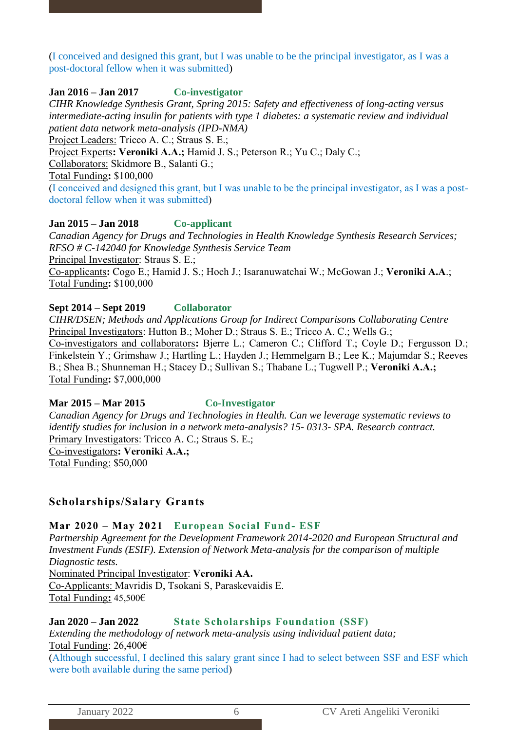(I conceived and designed this grant, but I was unable to be the principal investigator, as I was a post-doctoral fellow when it was submitted)

### **Jan 2016 – Jan 2017 Co-investigator**

*CIHR Knowledge Synthesis Grant, Spring 2015: Safety and effectiveness of long-acting versus intermediate-acting insulin for patients with type 1 diabetes: a systematic review and individual patient data network meta-analysis (IPD-NMA)*

Project Leaders: Tricco A. C.; Straus S. E.;

Project Experts**: Veroniki A.A.;** Hamid J. S.; Peterson R.; Yu C.; Daly C.;

Collaborators: Skidmore B., Salanti G.;

Total Funding**:** \$100,000

(I conceived and designed this grant, but I was unable to be the principal investigator, as I was a postdoctoral fellow when it was submitted)

### **Jan 2015 – Jan 2018 Co-applicant**

*Canadian Agency for Drugs and Technologies in Health Knowledge Synthesis Research Services; RFSO # C-142040 for Knowledge Synthesis Service Team* Principal Investigator: Straus S. E.; Co-applicants**:** Cogo E.; Hamid J. S.; Hoch J.; Isaranuwatchai W.; McGowan J.; **Veroniki A.A**.; Total Funding**:** \$100,000

### **Sept 2014 – Sept 2019 Collaborator**

*CIHR/DSEN; Methods and Applications Group for Indirect Comparisons Collaborating Centre* Principal Investigators: Hutton B.; Moher D.; Straus S. E.; Tricco A. C.; Wells G.; Co-investigators and collaborators**:** Bjerre L.; Cameron C.; Clifford T.; Coyle D.; Fergusson D.; Finkelstein Y.; Grimshaw J.; Hartling L.; Hayden J.; Hemmelgarn B.; Lee K.; Majumdar S.; Reeves B.; Shea B.; Shunneman H.; Stacey D.; Sullivan S.; Thabane L.; Tugwell P.; **Veroniki A.A.;** Total Funding**:** \$7,000,000

### **Mar 2015 – Mar 2015 Co-Investigator**

*Canadian Agency for Drugs and Technologies in Health. Can we leverage systematic reviews to identify studies for inclusion in a network meta-analysis? 15- 0313- SPA. Research contract.* Primary Investigators: Tricco A. C.; Straus S. E.; Co-investigators**: Veroniki A.A.;** Total Funding: \$50,000

# **Scholarships/Salary Grants**

### **Mar 2020 – May 2021 European Social Fund- ESF**

*Partnership Agreement for the Development Framework 2014-2020 and European Structural and Investment Funds (ESIF). Extension of Network Meta-analysis for the comparison of multiple Diagnostic tests.*

Nominated Principal Investigator: **Veroniki AA.** 

Co-Applicants: Mavridis D, Tsokani S, Paraskevaidis E. Total Funding**:** 45,500€

# **Jan 2020 – Jan 2022 State Scholarships Foundation (SSF)**

*Extending the methodology of network meta-analysis using individual patient data;* Total Funding: 26,400€

(Although successful, I declined this salary grant since I had to select between SSF and ESF which were both available during the same period)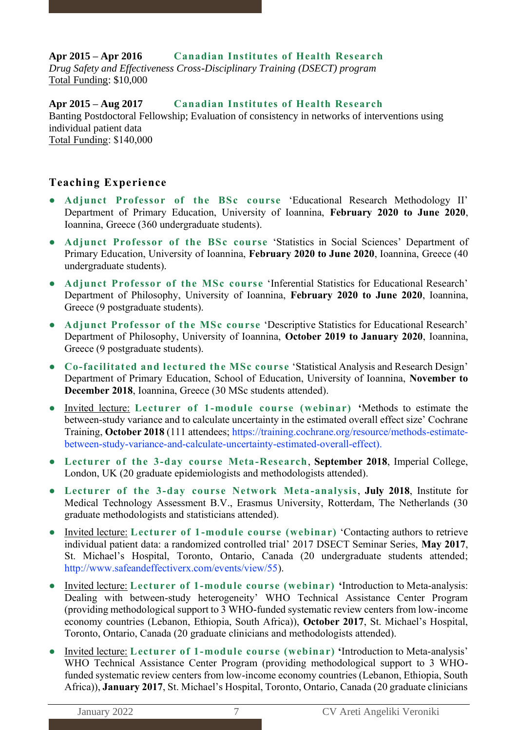# **Apr 2015 – Apr 2016 Canadian Institutes of Health Research**

*Drug Safety and Effectiveness Cross-Disciplinary Training (DSECT) program* Total Funding: \$10,000

**Apr 2015 – Aug 2017 Canadian Institutes of Health Research** Banting Postdoctoral Fellowship; Evaluation of consistency in networks of interventions using individual patient data Total Funding: \$140,000

# **Teaching Experience**

- **Adjunct Professor of the BSc course** 'Educational Research Methodology II' Department of Primary Education, University of Ioannina, **February 2020 to June 2020**, Ioannina, Greece (360 undergraduate students).
- **Adjunct Professor of the BSc course** 'Statistics in Social Sciences' Department of Primary Education, University of Ioannina, **February 2020 to June 2020**, Ioannina, Greece (40 undergraduate students).
- **Adjunct Professor of the MSc course** 'Inferential Statistics for Educational Research' Department of Philosophy, University of Ioannina, **February 2020 to June 2020**, Ioannina, Greece (9 postgraduate students).
- **Adjunct Professor of the MSc course** 'Descriptive Statistics for Educational Research' Department of Philosophy, University of Ioannina, **October 2019 to January 2020**, Ioannina, Greece (9 postgraduate students).
- **Co-facilitated and lectured the MSc course** 'Statistical Analysis and Research Design' Department of Primary Education, School of Education, University of Ioannina, **November to December 2018**, Ioannina, Greece (30 MSc students attended).
- Invited lecture: **Lecturer of 1-module course (webinar) '**Methods to estimate the between-study variance and to calculate uncertainty in the estimated overall effect size' Cochrane Training, **October 2018** (111 attendees; [https://training.cochrane.org/resource/methods-estimate](https://training.cochrane.org/resource/methods-estimate-between-study-variance-and-calculate-uncertainty-estimated-overall-effect)[between-study-variance-and-calculate-uncertainty-estimated-overall-effect\)](https://training.cochrane.org/resource/methods-estimate-between-study-variance-and-calculate-uncertainty-estimated-overall-effect).
- **Lecturer of the 3-day course Meta-Research**, **September 2018**, Imperial College, London, UK (20 graduate epidemiologists and methodologists attended).
- **Lecturer of the 3-day course Network Meta -analysis**, **July 2018**, Institute for Medical Technology Assessment B.V., Erasmus University, Rotterdam, The Netherlands (30 graduate methodologists and statisticians attended).
- Invited lecture: **Lecturer of 1-module course (webinar)** 'Contacting authors to retrieve individual patient data: a randomized controlled trial' 2017 DSECT Seminar Series, **May 2017**, St. Michael's Hospital, Toronto, Ontario, Canada (20 undergraduate students attended; [http://www.safeandeffectiverx.com/events/view/55\)](http://www.safeandeffectiverx.com/events/view/55).
- Invited lecture: **Lecturer of 1-module course (webinar) '**Introduction to Meta-analysis: Dealing with between-study heterogeneity' WHO Technical Assistance Center Program (providing methodological support to 3 WHO-funded systematic review centers from low-income economy countries (Lebanon, Ethiopia, South Africa)), **October 2017**, St. Michael's Hospital, Toronto, Ontario, Canada (20 graduate clinicians and methodologists attended).
- Invited lecture: **Lecturer of 1-module course (webinar) '**Introduction to Meta-analysis' WHO Technical Assistance Center Program (providing methodological support to 3 WHOfunded systematic review centers from low-income economy countries (Lebanon, Ethiopia, South Africa)), **January 2017**, St. Michael's Hospital, Toronto, Ontario, Canada (20 graduate clinicians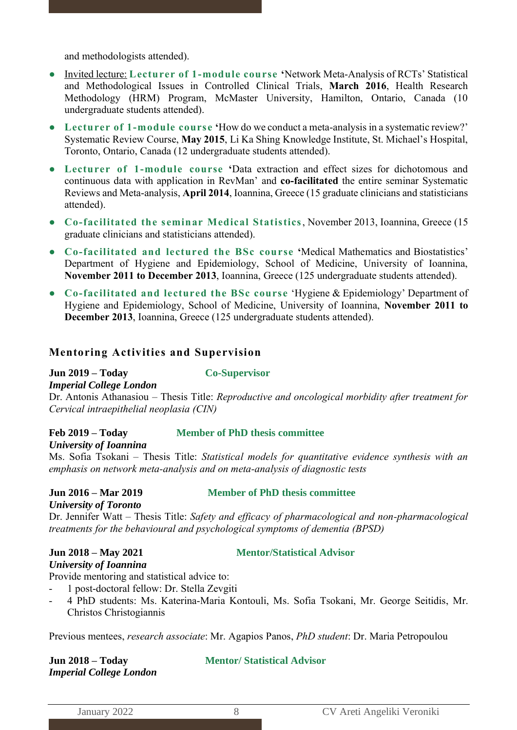and methodologists attended).

- Invited lecture: **Lecturer of 1-module course '**Network Meta-Analysis of RCTs' Statistical and Methodological Issues in Controlled Clinical Trials, **March 2016**, Health Research Methodology (HRM) Program, McMaster University, Hamilton, Ontario, Canada (10 undergraduate students attended).
- **Lecturer of 1-module course '**How do we conduct a meta-analysis in a systematic review?' Systematic Review Course, **May 2015**, Li Ka Shing Knowledge Institute, St. Michael's Hospital, Toronto, Ontario, Canada (12 undergraduate students attended).
- **Lecturer of 1-module course '**Data extraction and effect sizes for dichotomous and continuous data with application in RevMan' and **co-facilitated** the entire seminar Systematic Reviews and Meta-analysis, **April 2014**, Ioannina, Greece (15 graduate clinicians and statisticians attended).
- **Co-facilitated the seminar Medical Statistics**, November 2013, Ioannina, Greece (15 graduate clinicians and statisticians attended).
- **Co-facilitated and lectured the BSc course '**Medical Mathematics and Biostatistics' Department of Hygiene and Epidemiology, School of Medicine, University of Ioannina, **November 2011 to December 2013**, Ioannina, Greece (125 undergraduate students attended).
- **Co-facilitated and lectured the BSc course** 'Hygiene & Epidemiology' Department of Hygiene and Epidemiology, School of Medicine, University of Ioannina, **November 2011 to December 2013**, Ioannina, Greece (125 undergraduate students attended).

### **Mentoring Activities and Supervision**

#### **Jun 2019 – Today Co-Supervisor**

*Imperial College London*

Dr. Antonis Athanasiou – Thesis Title: *Reproductive and oncological morbidity after treatment for Cervical intraepithelial neoplasia (CIN)*

#### **Feb 2019 – Today Member of PhD thesis committee**

*University of Ioannina*

Ms. Sofia Tsokani – Thesis Title: *Statistical models for quantitative evidence synthesis with an emphasis on network meta-analysis and on meta-analysis of diagnostic tests*

### **Jun 2016 – Mar 2019 Member of PhD thesis committee**

*University of Toronto*

Dr. Jennifer Watt – Thesis Title: *Safety and efficacy of pharmacological and non-pharmacological treatments for the behavioural and psychological symptoms of dementia (BPSD)*

### **Jun 2018 – May 2021 Mentor/Statistical Advisor**

*University of Ioannina* Provide mentoring and statistical advice to:

- 1 post-doctoral fellow: Dr. Stella Zevgiti
- 4 PhD students: Ms. Katerina-Maria Kontouli, Ms. Sofia Tsokani, Mr. George Seitidis, Mr. Christos Christogiannis

Previous mentees, *research associate*: Mr. Agapios Panos, *PhD student*: Dr. Maria Petropoulou

# *Imperial College London*

# **Jun 2018 – Today Mentor/ Statistical Advisor**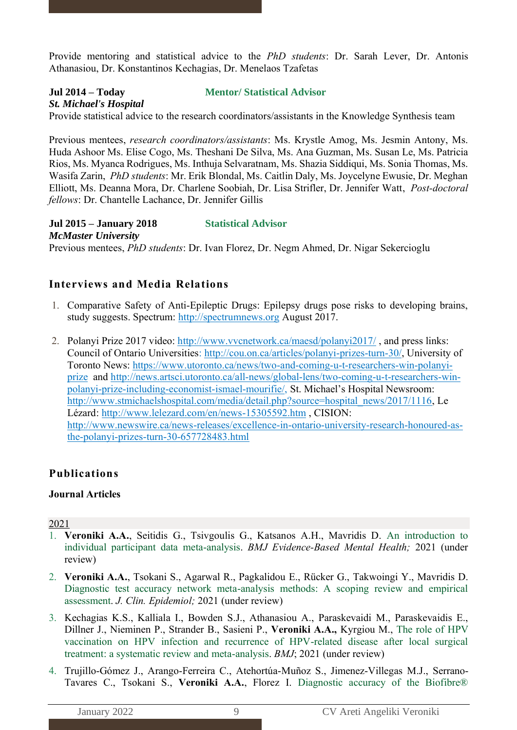Provide mentoring and statistical advice to the *PhD students*: Dr. Sarah Lever, Dr. Antonis Athanasiou, Dr. Konstantinos Kechagias, Dr. Menelaos Tzafetas

# *St. Michael's Hospital*

**Jul 2014 – Today Mentor/ Statistical Advisor**

Provide statistical advice to the research coordinators/assistants in the Knowledge Synthesis team

Previous mentees, *research coordinators/assistants*: Ms. Krystle Amog, Ms. Jesmin Antony, Ms. Huda Ashoor Ms. Elise Cogo, Ms. Theshani De Silva, Ms. Ana Guzman, Ms. Susan Le, Ms. Patricia Rios, Ms. Myanca Rodrigues, Ms. Inthuja Selvaratnam, Ms. Shazia Siddiqui, Ms. Sonia Thomas, Ms. Wasifa Zarin, *PhD students*: Mr. Erik Blondal, Ms. Caitlin Daly, Ms. Joycelyne Ewusie, Dr. Meghan Elliott, Ms. Deanna Mora, Dr. Charlene Soobiah, Dr. Lisa Strifler, Dr. Jennifer Watt, *Post-doctoral fellows*: Dr. Chantelle Lachance, Dr. Jennifer Gillis

**Jul 2015 – January 2018 Statistical Advisor** *McMaster University* Previous mentees, *PhD students*: Dr. Ivan Florez, Dr. Negm Ahmed, Dr. Nigar Sekercioglu

# **Interviews and Media Relations**

- 1. Comparative Safety of Anti-Epileptic Drugs: Epilepsy drugs pose risks to developing brains, study suggests. Spectrum: [http://spectrumnews.org](http://spectrumnews.org/) August 2017.
- 2. Polanyi Prize 2017 video:<http://www.vvcnetwork.ca/maesd/polanyi2017/>, and press links: Council of Ontario Universities: [http://cou.on.ca/articles/polanyi-prizes-turn-30/,](http://cou.on.ca/articles/polanyi-prizes-turn-30/) University of Toronto News: [https://www.utoronto.ca/news/two-and-coming-u-t-researchers-win-polanyi](https://www.utoronto.ca/news/two-and-coming-u-t-researchers-win-polanyi-prize)[prize](https://www.utoronto.ca/news/two-and-coming-u-t-researchers-win-polanyi-prize) and [http://news.artsci.utoronto.ca/all-news/global-lens/two-coming-u-t-researchers-win](http://news.artsci.utoronto.ca/all-news/global-lens/two-coming-u-t-researchers-win-polanyi-prize-including-economist-ismael-mourifie/)[polanyi-prize-including-economist-ismael-mourifie/,](http://news.artsci.utoronto.ca/all-news/global-lens/two-coming-u-t-researchers-win-polanyi-prize-including-economist-ismael-mourifie/) St. Michael's Hospital Newsroom: [http://www.stmichaelshospital.com/media/detail.php?source=hospital\\_news/2017/1116,](http://www.stmichaelshospital.com/media/detail.php?source=hospital_news/2017/1116) Le Lézard:<http://www.lelezard.com/en/news-15305592.htm> , CISION: [http://www.newswire.ca/news-releases/excellence-in-ontario-university-research-honoured-as](http://www.newswire.ca/news-releases/excellence-in-ontario-university-research-honoured-as-the-polanyi-prizes-turn-30-657728483.html)[the-polanyi-prizes-turn-30-657728483.html](http://www.newswire.ca/news-releases/excellence-in-ontario-university-research-honoured-as-the-polanyi-prizes-turn-30-657728483.html)

# **Publications**

#### **Journal Articles**

- 1. **Veroniki A.A.**, Seitidis G., Tsivgoulis G., Katsanos A.H., Mavridis D. An introduction to individual participant data meta-analysis. *BMJ Evidence-Based Mental Health;* 2021 (under review)
- 2. **Veroniki A.A.**, Tsokani S., Agarwal R., Pagkalidou E., Rücker G., Takwoingi Y., Mavridis D. Diagnostic test accuracy network meta-analysis methods: A scoping review and empirical assessment. *J. Clin. Epidemiol;* 2021 (under review)
- 3. Kechagias K.S., Kalliala I., Bowden S.J., Athanasiou A., Paraskevaidi M., Paraskevaidis E., Dillner J., Nieminen P., Strander B., Sasieni P., **Veroniki A.A.,** Kyrgiou M., The role of HPV vaccination on HPV infection and recurrence of HPV-related disease after local surgical treatment: a systematic review and meta-analysis. *BMJ*; 2021 (under review)
- 4. Trujillo-Gómez J., Arango-Ferreira C., Atehortúa-Muñoz S., Jimenez-Villegas M.J., Serrano-Tavares C., Tsokani S., **Veroniki A.A.**, Florez I. Diagnostic accuracy of the Biofibre®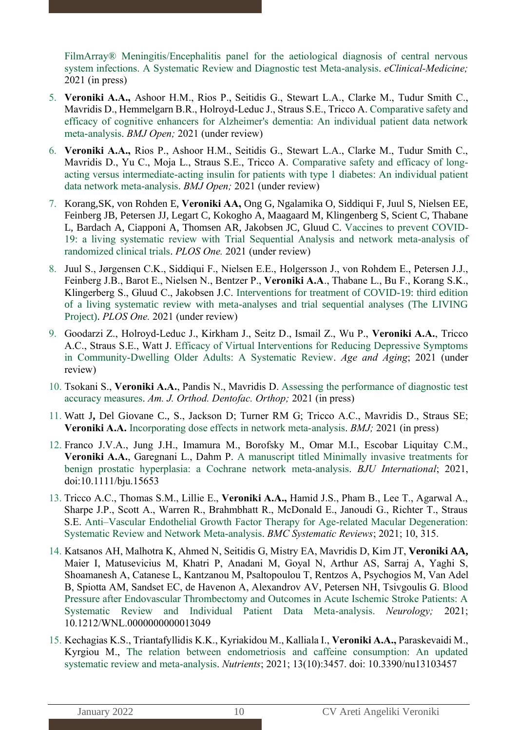FilmArray® Meningitis/Encephalitis panel for the aetiological diagnosis of central nervous system infections. A Systematic Review and Diagnostic test Meta-analysis. *eClinical-Medicine;*  2021 (in press)

- 5. **Veroniki A.A.,** Ashoor H.M., Rios P., Seitidis G., Stewart L.A., Clarke M., Tudur Smith C., Mavridis D., Hemmelgarn B.R., Holroyd-Leduc J., Straus S.E., Tricco A. Comparative safety and efficacy of cognitive enhancers for Alzheimer's dementia: An individual patient data network meta-analysis. *BMJ Open;* 2021 (under review)
- 6. **Veroniki A.A.,** Rios P., Ashoor H.M., Seitidis G., Stewart L.A., Clarke M., Tudur Smith C., Mavridis D., Yu C., Moja L., Straus S.E., Tricco A. Comparative safety and efficacy of longacting versus intermediate-acting insulin for patients with type 1 diabetes: An individual patient data network meta-analysis. *BMJ Open;* 2021 (under review)
- 7. Korang,SK, von Rohden E, **Veroniki AA,** Ong G, Ngalamika O, Siddiqui F, Juul S, Nielsen EE, Feinberg JB, Petersen JJ, Legart C, Kokogho A, Maagaard M, Klingenberg S, Scient C, Thabane L, Bardach A, Ciapponi A, Thomsen AR, Jakobsen JC, Gluud C. Vaccines to prevent COVID-19: a living systematic review with Trial Sequential Analysis and network meta-analysis of randomized clinical trials. *PLOS One.* 2021 (under review)
- 8. Juul S., Jørgensen C.K., Siddiqui F., Nielsen E.E., Holgersson J., von Rohdem E., Petersen J.J., Feinberg J.B., Barot E., Nielsen N., Bentzer P., **Veroniki A.A**., Thabane L., Bu F., Korang S.K., Klingerberg S., Gluud C., Jakobsen J.C. Interventions for treatment of COVID-19: third edition of a living systematic review with meta-analyses and trial sequential analyses (The LIVING Project). *PLOS One.* 2021 (under review)
- 9. Goodarzi Z., Holroyd-Leduc J., Kirkham J., Seitz D., Ismail Z., Wu P., **Veroniki A.A.**, Tricco A.C., Straus S.E., Watt J. Efficacy of Virtual Interventions for Reducing Depressive Symptoms in Community-Dwelling Older Adults: A Systematic Review. *Age and Aging*; 2021 (under review)
- 10. Tsokani S., **Veroniki A.A.**, Pandis N., Mavridis D. Assessing the performance of diagnostic test accuracy measures. *Am. J. Orthod. Dentofac. Orthop;* 2021 (in press)
- 11. Watt J**,** Del Giovane C., S., Jackson D; Turner RM G; Tricco A.C., Mavridis D., Straus SE; **Veroniki A.A.** Incorporating dose effects in network meta-analysis. *BMJ;* 2021 (in press)
- 12. Franco J.V.A., Jung J.H., Imamura M., Borofsky M., Omar M.I., Escobar Liquitay C.M., **Veroniki A.A.**, Garegnani L., Dahm P. A manuscript titled Minimally invasive treatments for benign prostatic hyperplasia: a Cochrane network meta-analysis. *BJU International*; 2021, doi:10.1111/bju.15653
- 13. Tricco A.C., Thomas S.M., Lillie E., **Veroniki A.A.,** Hamid J.S., Pham B., Lee T., Agarwal A., Sharpe J.P., Scott A., Warren R., Brahmbhatt R., McDonald E., Janoudi G., Richter T., Straus S.E. Anti–Vascular Endothelial Growth Factor Therapy for Age-related Macular Degeneration: Systematic Review and Network Meta-analysis. *BMC Systematic Reviews*; 2021; 10, 315.
- 14. Katsanos AH, Malhotra K, Ahmed N, Seitidis G, Mistry EA, Mavridis D, Kim JT, **Veroniki AA,**  Maier I, Matusevicius M, Khatri P, Anadani M, Goyal N, Arthur AS, Sarraj A, Yaghi S, Shoamanesh A, Catanese L, Kantzanou M, Psaltopoulou T, Rentzos A, Psychogios M, Van Adel B, Spiotta AM, Sandset EC, de Havenon A, Alexandrov AV, Petersen NH, Tsivgoulis G. Blood Pressure after Endovascular Thrombectomy and Outcomes in Acute Ischemic Stroke Patients: A Systematic Review and Individual Patient Data Meta-analysis. *Neurology;* 2021; 10.1212/WNL.0000000000013049
- 15. Kechagias K.S., Triantafyllidis K.K., Kyriakidou M., Kalliala I., **Veroniki A.A.,** Paraskevaidi M., Kyrgiou M., The relation between endometriosis and caffeine consumption: An updated systematic review and meta-analysis. *Nutrients*; 2021; 13(10):3457. doi: 10.3390/nu13103457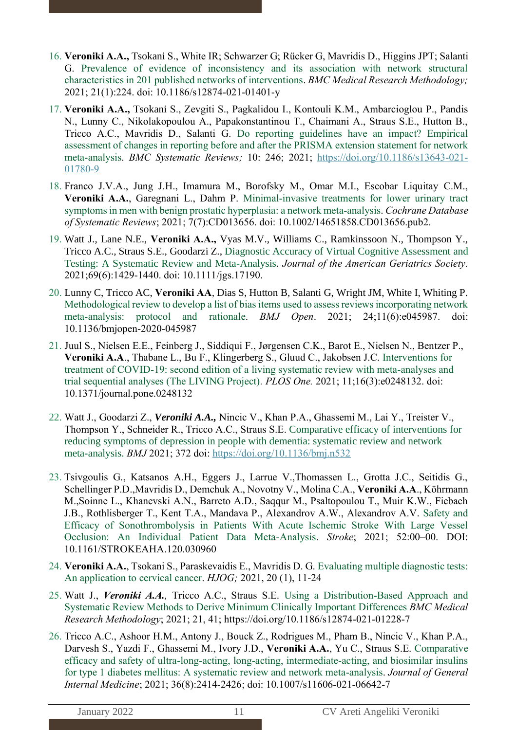- 16. **Veroniki A.A.,** Tsokani S., White IR; Schwarzer G; Rücker G, Mavridis D., Higgins JPT; Salanti G. Prevalence of evidence of inconsistency and its association with network structural characteristics in 201 published networks of interventions. *BMC Medical Research Methodology;*  2021; 21(1):224. doi: 10.1186/s12874-021-01401-y
- 17. **Veroniki A.A.,** Tsokani S., Zevgiti S., Pagkalidou I., Kontouli K.M., Ambarcioglou P., Pandis N., Lunny C., Nikolakopoulou A., Papakonstantinou T., Chaimani A., Straus S.E., Hutton B., Tricco A.C., Mavridis D., Salanti G. Do reporting guidelines have an impact? Empirical assessment of changes in reporting before and after the PRISMA extension statement for network meta-analysis. *BMC Systematic Reviews;* 10: 246; 2021; [https://doi.org/10.1186/s13643-021-](https://doi.org/10.1186/s13643-021-01780-9) [01780-9](https://doi.org/10.1186/s13643-021-01780-9)
- 18. Franco J.V.A., Jung J.H., Imamura M., Borofsky M., Omar M.I., Escobar Liquitay C.M., **Veroniki A.A.**, Garegnani L., Dahm P. Minimal-invasive treatments for lower urinary tract symptoms in men with benign prostatic hyperplasia: a network meta-analysis. *Cochrane Database of Systematic Reviews*; 2021; 7(7):CD013656. doi: 10.1002/14651858.CD013656.pub2.
- 19. Watt J., Lane N.E., **Veroniki A.A.,** Vyas M.V., Williams C., Ramkinssoon N., Thompson Y., Tricco A.C., Straus S.E., Goodarzi Z., Diagnostic Accuracy of Virtual Cognitive Assessment and Testing: A Systematic Review and Meta-Analysis. *Journal of the American Geriatrics Society.* 2021;69(6):1429-1440. doi: 10.1111/jgs.17190.
- 20. Lunny C, Tricco AC, **Veroniki AA***,* Dias S, Hutton B, Salanti G, Wright JM, White I, Whiting P. Methodological review to develop a list of bias items used to assess reviews incorporating network meta-analysis: protocol and rationale. *BMJ Open*. 2021; 24;11(6):e045987. doi: 10.1136/bmjopen-2020-045987
- 21. Juul S., Nielsen E.E., Feinberg J., Siddiqui F., Jørgensen C.K., Barot E., Nielsen N., Bentzer P., **Veroniki A.A**., Thabane L., Bu F., Klingerberg S., Gluud C., Jakobsen J.C. Interventions for treatment of COVID-19: second edition of a living systematic review with meta-analyses and trial sequential analyses (The LIVING Project). *PLOS One.* 2021; 11;16(3):e0248132. doi: 10.1371/journal.pone.0248132
- 22. Watt J., Goodarzi Z., *Veroniki A.A.,* Nincic V., Khan P.A., Ghassemi M., Lai Y., Treister V., Thompson Y., Schneider R., Tricco A.C., Straus S.E. Comparative efficacy of interventions for reducing symptoms of depression in people with dementia: systematic review and network meta-analysis. *BMJ* 2021; 372 doi:<https://doi.org/10.1136/bmj.n532>
- 23. Tsivgoulis G., Katsanos A.H., Eggers J., Larrue V.,Thomassen L., Grotta J.C., Seitidis G., Schellinger P.D.,Mavridis D., Demchuk A., Novotny V., Molina C.A., **Veroniki A.A**., Köhrmann M.,Soinne L., Khanevski A.N., Barreto A.D., Saqqur M., Psaltopoulou T., Muir K.W., Fiebach J.B., Rothlisberger T., Kent T.A., Mandava P., Alexandrov A.W., Alexandrov A.V. Safety and Efficacy of Sonothrombolysis in Patients With Acute Ischemic Stroke With Large Vessel Occlusion: An Individual Patient Data Meta-Analysis. *Stroke*; 2021; 52:00–00. DOI: 10.1161/STROKEAHA.120.030960
- 24. **Veroniki A.A.**, Tsokani S., Paraskevaidis E., Mavridis D. G. Evaluating multiple diagnostic tests: An application to cervical cancer. *HJOG;* 2021, 20 (1), 11-24
- 25. Watt J., *Veroniki A.A.,* Tricco A.C., Straus S.E. Using a Distribution-Based Approach and Systematic Review Methods to Derive Minimum Clinically Important Differences *BMC Medical Research Methodology*; 2021; 21, 41; https://doi.org/10.1186/s12874-021-01228-7
- 26. Tricco A.C., Ashoor H.M., Antony J., Bouck Z., Rodrigues M., Pham B., Nincic V., Khan P.A., Darvesh S., Yazdi F., Ghassemi M., Ivory J.D., **Veroniki A.A.**, Yu C., Straus S.E. Comparative efficacy and safety of ultra-long-acting, long-acting, intermediate-acting, and biosimilar insulins for type 1 diabetes mellitus: A systematic review and network meta-analysis. *Journal of General Internal Medicine*; 2021; 36(8):2414-2426; doi: 10.1007/s11606-021-06642-7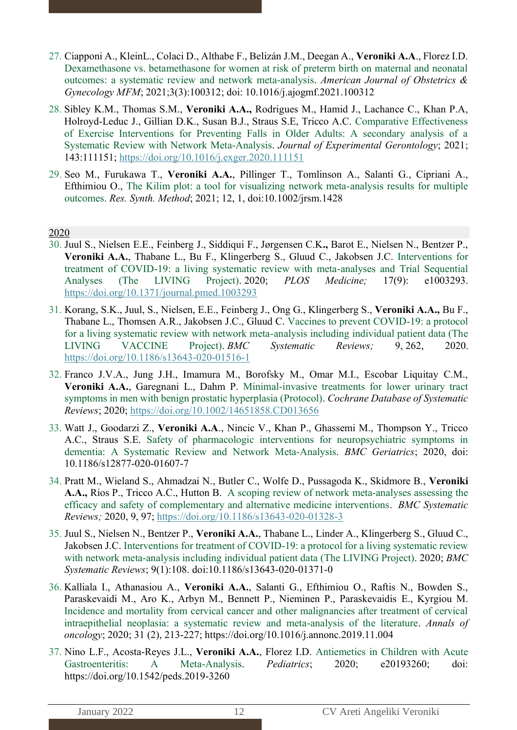- 27. Ciapponi A., KleinL., Colaci D., Althabe F., Belizán J.M., Deegan A., **Veroniki A.A**., Florez I.D. Dexamethasone vs. betamethasone for women at risk of preterm birth on maternal and neonatal outcomes: a systematic review and network meta-analysis. *American Journal of Obstetrics & Gynecology MFM*; 2021;3(3):100312; doi: 10.1016/j.ajogmf.2021.100312
- 28. Sibley K.M., Thomas S.M., **Veroniki A.A.,** Rodrigues M., Hamid J., Lachance C., Khan P.A, Holroyd-Leduc J., Gillian D.K., Susan B.J., Straus S.E, Tricco A.C. Comparative Effectiveness of Exercise Interventions for Preventing Falls in Older Adults: A secondary analysis of a Systematic Review with Network Meta-Analysis. *Journal of Experimental Gerontology*; 2021; 143:111151;<https://doi.org/10.1016/j.exger.2020.111151>
- 29. Seo M., Furukawa T., **Veroniki A.A.**, Pillinger T., Tomlinson A., Salanti G., Cipriani A., Efthimiou O., The Kilim plot: a tool for visualizing network meta-analysis results for multiple outcomes. *Res. Synth. Method*; 2021; 12, 1, doi:10.1002/jrsm.1428

- 30. Juul S., Nielsen E.E., Feinberg J., Siddiqui F., Jørgensen C.K**.,** Barot E., Nielsen N., Bentzer P., **Veroniki A.A.**, Thabane L., Bu F., Klingerberg S., Gluud C., Jakobsen J.C. Interventions for treatment of COVID-19: a living systematic review with meta-analyses and Trial Sequential Analyses (The LIVING Project). 2020; *PLOS Medicine;* 17(9): e1003293. <https://doi.org/10.1371/journal.pmed.1003293>
- 31. Korang, S.K., Juul, S., Nielsen, E.E., Feinberg J., Ong G., Klingerberg S., **Veroniki A.A.,** Bu F., Thabane L., Thomsen A.R., Jakobsen J.C., Gluud C. Vaccines to prevent COVID-19: a protocol for a living systematic review with network meta-analysis including individual patient data (The LIVING VACCINE Project). *BMC Systematic Reviews;* 9, 262, 2020. <https://doi.org/10.1186/s13643-020-01516-1>
- 32. Franco J.V.A., Jung J.H., Imamura M., Borofsky M., Omar M.I., Escobar Liquitay C.M., **Veroniki A.A.**, Garegnani L., Dahm P. Minimal-invasive treatments for lower urinary tract symptoms in men with benign prostatic hyperplasia (Protocol). *Cochrane Database of Systematic Reviews*; 2020;<https://doi.org/10.1002/14651858.CD013656>
- 33. Watt J., Goodarzi Z., **Veroniki A.A**., Nincic V., Khan P., Ghassemi M., Thompson Y., Tricco A.C., Straus S.E. Safety of pharmacologic interventions for neuropsychiatric symptoms in dementia: A Systematic Review and Network Meta-Analysis. *BMC Geriatrics*; 2020, doi: 10.1186/s12877-020-01607-7
- 34. Pratt M., Wieland S., Ahmadzai N., Butler C., Wolfe D., Pussagoda K., Skidmore B., **Veroniki A.A.,** Rios P., Tricco A.C., Hutton B. A scoping review of network meta-analyses assessing the efficacy and safety of complementary and alternative medicine interventions. *BMC Systematic Reviews;* 2020, 9, 97; <https://doi.org/10.1186/s13643-020-01328-3>
- 35. Juul S., Nielsen N., Bentzer P., **Veroniki A.A.**, Thabane L., Linder A., Klingerberg S., Gluud C., Jakobsen J.C. Interventions for treatment of COVID-19: a protocol for a living systematic review with network meta-analysis including individual patient data (The LIVING Project). 2020; *BMC Systematic Reviews*; 9(1):108. doi:10.1186/s13643-020-01371-0
- 36. Kalliala I., Athanasiou A., **Veroniki A.A.**, Salanti G., Efthimiou O., Raftis N., Bowden S., Paraskevaidi M., Aro K., Arbyn M., Bennett P., Nieminen P., Paraskevaidis E., Kyrgiou M. Incidence and mortality from cervical cancer and other malignancies after treatment of cervical intraepithelial neoplasia: a systematic review and meta-analysis of the literature. *Annals of oncology*; 2020; 31 (2), 213-227; https://doi.org/10.1016/j.annonc.2019.11.004
- 37. Nino L.F., Acosta-Reyes J.L., **Veroniki A.A.**, Florez I.D. Antiemetics in Children with Acute Gastroenteritis: A Meta-Analysis. *Pediatrics*; 2020; e20193260; doi: https://doi.org/10.1542/peds.2019-3260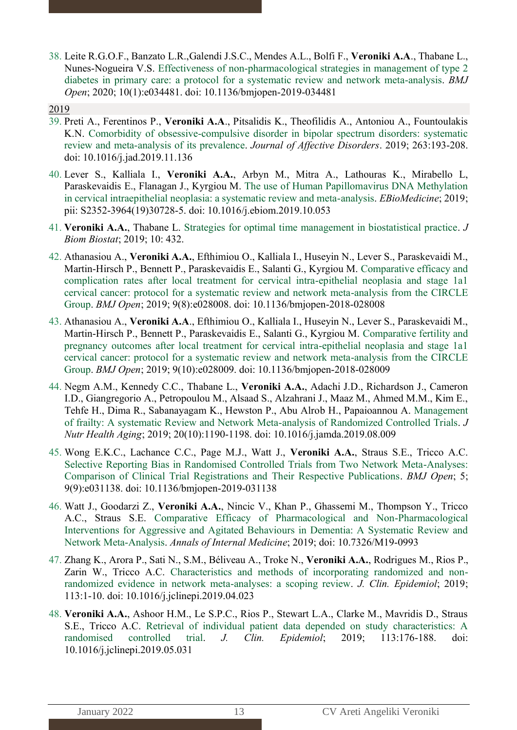38. Leite R.G.O.F., Banzato L.R.,Galendi J.S.C., Mendes A.L., Bolfi F., **Veroniki A.A**., Thabane L., Nunes-Nogueira V.S. Effectiveness of non-pharmacological strategies in management of type 2 diabetes in primary care: a protocol for a systematic review and network meta-analysis. *BMJ Open*; 2020; 10(1):e034481. doi: 10.1136/bmjopen-2019-034481

- 39. Preti A., Ferentinos P., **Veroniki A.A**., Pitsalidis K., Theofilidis A., Antoniou A., Fountoulakis K.N. Comorbidity of obsessive-compulsive disorder in bipolar spectrum disorders: systematic review and meta-analysis of its prevalence. *Journal of Affective Disorders*. 2019; 263:193-208. doi: 10.1016/j.jad.2019.11.136
- 40. Lever S., Kalliala I., **Veroniki A.A.**, Arbyn M., Mitra A., Lathouras K., Mirabello L, Paraskevaidis E., Flanagan J., Kyrgiou M. The use of Human Papillomavirus DNA Methylation in cervical intraepithelial neoplasia: a systematic review and meta-analysis. *EBioMedicine*; 2019; pii: S2352-3964(19)30728-5. doi: 10.1016/j.ebiom.2019.10.053
- 41. **Veroniki A.A.**, Thabane L. Strategies for optimal time management in biostatistical practice. *J Biom Biostat*; 2019; 10: 432.
- 42. Athanasiou A., **Veroniki A.A.**, Efthimiou O., Kalliala I., Huseyin N., Lever S., Paraskevaidi M., Martin-Hirsch P., Bennett P., Paraskevaidis E., Salanti G., Kyrgiou M. Comparative efficacy and complication rates after local treatment for cervical intra-epithelial neoplasia and stage 1a1 cervical cancer: protocol for a systematic review and network meta-analysis from the CIRCLE Group. *BMJ Open*; 2019; 9(8):e028008. doi: 10.1136/bmjopen-2018-028008
- 43. Athanasiou A., **Veroniki A.A**., Efthimiou O., Kalliala I., Huseyin N., Lever S., Paraskevaidi M., Martin-Hirsch P., Bennett P., Paraskevaidis E., Salanti G., Kyrgiou M. Comparative fertility and pregnancy outcomes after local treatment for cervical intra-epithelial neoplasia and stage 1a1 cervical cancer: protocol for a systematic review and network meta-analysis from the CIRCLE Group. *BMJ Open*; 2019; 9(10):e028009. doi: 10.1136/bmjopen-2018-028009
- 44. Negm A.M., Kennedy C.C., Thabane L., **Veroniki A.A.**, Adachi J.D., Richardson J., Cameron I.D., Giangregorio A., Petropoulou M., Alsaad S., Alzahrani J., Maaz M., Ahmed M.M., Kim E., Tehfe H., Dima R., Sabanayagam K., Hewston P., Abu Alrob H., Papaioannou A. Management of frailty: A systematic Review and Network Meta-analysis of Randomized Controlled Trials. *J Nutr Health Aging*; 2019; 20(10):1190-1198. doi: 10.1016/j.jamda.2019.08.009
- 45. Wong E.K.C., Lachance C.C., Page M.J., Watt J., **Veroniki A.A.**, Straus S.E., Tricco A.C. Selective Reporting Bias in Randomised Controlled Trials from Two Network Meta-Analyses: Comparison of Clinical Trial Registrations and Their Respective Publications. *BMJ Open*; 5; 9(9):e031138. doi: 10.1136/bmjopen-2019-031138
- 46. Watt J., Goodarzi Z., **Veroniki A.A.**, Nincic V., Khan P., Ghassemi M., Thompson Y., Tricco A.C., Straus S.E. Comparative Efficacy of Pharmacological and Non-Pharmacological Interventions for Aggressive and Agitated Behaviours in Dementia: A Systematic Review and Network Meta-Analysis. *Annals of Internal Medicine*; 2019; doi: 10.7326/M19-0993
- 47. Zhang K., Arora P., Sati N., S.M., Béliveau A., Troke N., **Veroniki A.A.**, Rodrigues M., Rios P., Zarin W., Tricco A.C. Characteristics and methods of incorporating randomized and nonrandomized evidence in network meta-analyses: a scoping review. *J. Clin. Epidemiol*; 2019; 113:1-10. doi: 10.1016/j.jclinepi.2019.04.023
- 48. **Veroniki A.A.**, Ashoor H.M., Le S.P.C., Rios P., Stewart L.A., Clarke M., Mavridis D., Straus S.E., Tricco A.C. Retrieval of individual patient data depended on study characteristics: A randomised controlled trial. *J. Clin. Epidemiol*; 2019; 113:176-188. doi: 10.1016/j.jclinepi.2019.05.031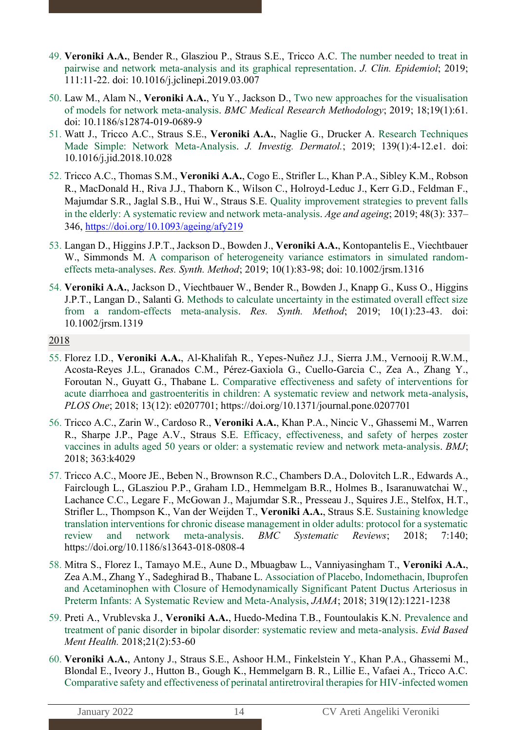- 49. **Veroniki A.A.**, Bender R., Glasziou P., Straus S.E., Tricco A.C. The number needed to treat in pairwise and network meta-analysis and its graphical representation. *J. Clin. Epidemiol*; 2019; 111:11-22. doi: 10.1016/j.jclinepi.2019.03.007
- 50. Law M., Alam N., **Veroniki A.A.**, Yu Y., Jackson D., Two new approaches for the visualisation of models for network meta-analysis. *BMC Medical Research Methodology*; 2019; 18;19(1):61. doi: 10.1186/s12874-019-0689-9
- 51. Watt J., Tricco A.C., Straus S.E., **Veroniki A.A.**, Naglie G., Drucker A. Research Techniques Made Simple: Network Meta-Analysis. *J. Investig. Dermatol.*; 2019; 139(1):4-12.e1. doi: 10.1016/j.jid.2018.10.028
- 52. Tricco A.C., Thomas S.M., **Veroniki A.A.**, Cogo E., Strifler L., Khan P.A., Sibley K.M., Robson R., MacDonald H., Riva J.J., Thaborn K., Wilson C., Holroyd-Leduc J., Kerr G.D., Feldman F., Majumdar S.R., Jaglal S.B., Hui W., Straus S.E. Quality improvement strategies to prevent falls in the elderly: A systematic review and network meta-analysis. *Age and ageing*; 2019; 48(3): 337– 346,<https://doi.org/10.1093/ageing/afy219>
- 53. Langan D., Higgins J.P.T., Jackson D., Bowden J., **Veroniki A.A.**, Kontopantelis E., Viechtbauer W., Simmonds M. A comparison of heterogeneity variance estimators in simulated randomeffects meta-analyses. *Res. Synth. Method*; 2019; 10(1):83-98; doi: 10.1002/jrsm.1316
- 54. **Veroniki A.A.**, Jackson D., Viechtbauer W., Bender R., Bowden J., Knapp G., Kuss O., Higgins J.P.T., Langan D., Salanti G. Methods to calculate uncertainty in the estimated overall effect size from a random-effects meta-analysis. *Res. Synth. Method*; 2019; 10(1):23-43. doi: 10.1002/jrsm.1319

- 55. Florez I.D., **Veroniki A.A.**, Al-Khalifah R., Yepes-Nuñez J.J., Sierra J.M., Vernooij R.W.M., Acosta-Reyes J.L., Granados C.M., Pérez-Gaxiola G., Cuello-Garcia C., Zea A., Zhang Y., Foroutan N., Guyatt G., Thabane L. Comparative effectiveness and safety of interventions for acute diarrhoea and gastroenteritis in children: A systematic review and network meta-analysis, *PLOS One*; 2018; 13(12): e0207701; https://doi.org/10.1371/journal.pone.0207701
- 56. Tricco A.C., Zarin W., Cardoso R., **Veroniki A.A.**, Khan P.A., Nincic V., Ghassemi M., Warren R., Sharpe J.P., Page A.V., Straus S.E. Efficacy, effectiveness, and safety of herpes zoster vaccines in adults aged 50 years or older: a systematic review and network meta-analysis. *BMJ*; 2018; 363:k4029
- 57. Tricco A.C., Moore JE., Beben N., Brownson R.C., Chambers D.A., Dolovitch L.R., Edwards A., Fairclough L., GLasziou P.P., Graham I.D., Hemmelgam B.R., Holmes B., Isaranuwatchai W., Lachance C.C., Legare F., McGowan J., Majumdar S.R., Presseau J., Squires J.E., Stelfox, H.T., Strifler L., Thompson K., Van der Weijden T., **Veroniki A.A.**, Straus S.E. Sustaining knowledge translation interventions for chronic disease management in older adults: protocol for a systematic review and network meta-analysis. *BMC Systematic Reviews*; 2018; 7:140; https://doi.org/10.1186/s13643-018-0808-4
- 58. Mitra S., Florez I., Tamayo M.E., Aune D., Mbuagbaw L., Vanniyasingham T., **Veroniki A.A.**, Zea A.M., Zhang Y., Sadeghirad B., Thabane L. Association of Placebo, Indomethacin, Ibuprofen and Acetaminophen with Closure of Hemodynamically Significant Patent Ductus Arteriosus in Preterm Infants: A Systematic Review and Meta-Analysis, *JAMA*; 2018; 319(12):1221-1238
- 59. Preti A., Vrublevska J., **Veroniki A.A.**, Huedo-Medina T.B., Fountoulakis K.N. Prevalence and treatment of panic disorder in bipolar disorder: systematic review and meta-analysis. *Evid Based Ment Health.* 2018;21(2):53-60
- 60. **Veroniki A.A.**, Antony J., Straus S.E., Ashoor H.M., Finkelstein Y., Khan P.A., Ghassemi M., Blondal E., Iveory J., Hutton B., Gough K., Hemmelgarn B. R., Lillie E., Vafaei A., Tricco A.C. Comparative safety and effectiveness of perinatal antiretroviral therapies for HIV-infected women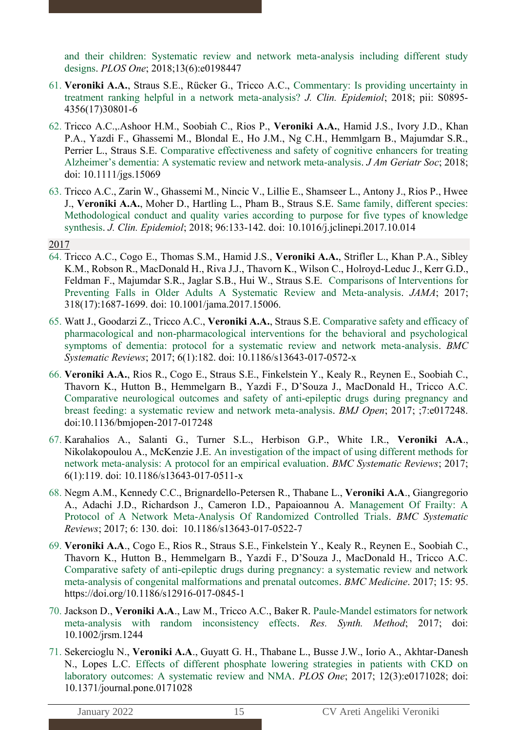and their children: Systematic review and network meta-analysis including different study designs. *PLOS One*; 2018;13(6):e0198447

- 61. **Veroniki A.A.**, Straus S.E., Rücker G., Tricco A.C., Commentary: Is providing uncertainty in treatment ranking helpful in a network meta-analysis? *J. Clin. Epidemiol*; 2018; pii: S0895- 4356(17)30801-6
- 62. Tricco A.C.,.Ashoor H.M., Soobiah C., Rios P., **Veroniki A.A.**, Hamid J.S., Ivory J.D., Khan P.A., Yazdi F., Ghassemi M., Blondal E., Ho J.M., Ng C.H., Hemmlgarn B., Majumdar S.R., Perrier L., Straus S.E. Comparative effectiveness and safety of cognitive enhancers for treating Alzheimer's dementia: A systematic review and network meta-analysis. *J Am Geriatr Soc*; 2018; doi: 10.1111/jgs.15069
- 63. Tricco A.C., Zarin W., Ghassemi M., Nincic V., Lillie E., Shamseer L., Antony J., Rios P., Hwee J., **Veroniki A.A.**, Moher D., Hartling L., Pham B., Straus S.E. Same family, different species: Methodological conduct and quality varies according to purpose for five types of knowledge synthesis. *J. Clin. Epidemiol*; 2018; 96:133-142. doi: 10.1016/j.jclinepi.2017.10.014
- 2017
- 64. Tricco A.C., Cogo E., Thomas S.M., Hamid J.S., **Veroniki A.A.**, Strifler L., Khan P.A., Sibley K.M., Robson R., MacDonald H., Riva J.J., Thavorn K., Wilson C., Holroyd-Leduc J., Kerr G.D., Feldman F., Majumdar S.R., Jaglar S.B., Hui W., Straus S.E. Comparisons of Interventions for Preventing Falls in Older Adults A Systematic Review and Meta-analysis. *JAMA*; 2017; 318(17):1687-1699. doi: 10.1001/jama.2017.15006.
- 65. Watt J., Goodarzi Z., Tricco A.C., **Veroniki A.A.**, Straus S.E. Comparative safety and efficacy of pharmacological and non-pharmacological interventions for the behavioral and psychological symptoms of dementia: protocol for a systematic review and network meta-analysis. *BMC Systematic Reviews*; 2017; 6(1):182. doi: 10.1186/s13643-017-0572-x
- 66. **Veroniki A.A.**, Rios R., Cogo E., Straus S.E., Finkelstein Y., Kealy R., Reynen E., Soobiah C., Thavorn K., Hutton B., Hemmelgarn B., Yazdi F., D'Souza J., MacDonald H., Tricco A.C. Comparative neurological outcomes and safety of anti-epileptic drugs during pregnancy and breast feeding: a systematic review and network meta-analysis. *BMJ Open*; 2017; ;7:e017248. doi:10.1136/bmjopen-2017-017248
- 67. Karahalios A., Salanti G., Turner S.L., Herbison G.P., White I.R., **Veroniki A.A**., Nikolakopoulou A., McKenzie J.E. An investigation of the impact of using different methods for network meta-analysis: A protocol for an empirical evaluation. *BMC Systematic Reviews*; 2017; 6(1):119. doi: 10.1186/s13643-017-0511-x
- 68. Negm A.M., Kennedy C.C., Brignardello-Petersen R., Thabane L., **Veroniki A.A**., Giangregorio A., Adachi J.D., Richardson J., Cameron I.D., Papaioannou A. Management Of Frailty: A Protocol of A Network Meta-Analysis Of Randomized Controlled Trials. *BMC Systematic Reviews*; 2017; 6: 130. doi: 10.1186/s13643-017-0522-7
- 69. **Veroniki A.A**., Cogo E., Rios R., Straus S.E., Finkelstein Y., Kealy R., Reynen E., Soobiah C., Thavorn K., Hutton B., Hemmelgarn B., Yazdi F., D'Souza J., MacDonald H., Tricco A.C. Comparative safety of anti-epileptic drugs during pregnancy: a systematic review and network meta-analysis of congenital malformations and prenatal outcomes. *BMC Medicine*. 2017; 15: 95. https://doi.org/10.1186/s12916-017-0845-1
- 70. Jackson D., **Veroniki A.A**., Law M., Tricco A.C., Baker R. Paule-Mandel estimators for network meta-analysis with random inconsistency effects. *Res. Synth. Method*; 2017; doi: 10.1002/jrsm.1244
- 71. Sekercioglu N., **Veroniki A.A**., Guyatt G. H., Thabane L., Busse J.W., Iorio A., Akhtar-Danesh N., Lopes L.C. Effects of different phosphate lowering strategies in patients with CKD on laboratory outcomes: A systematic review and NMA. *PLOS One*; 2017; 12(3):e0171028; doi: 10.1371/journal.pone.0171028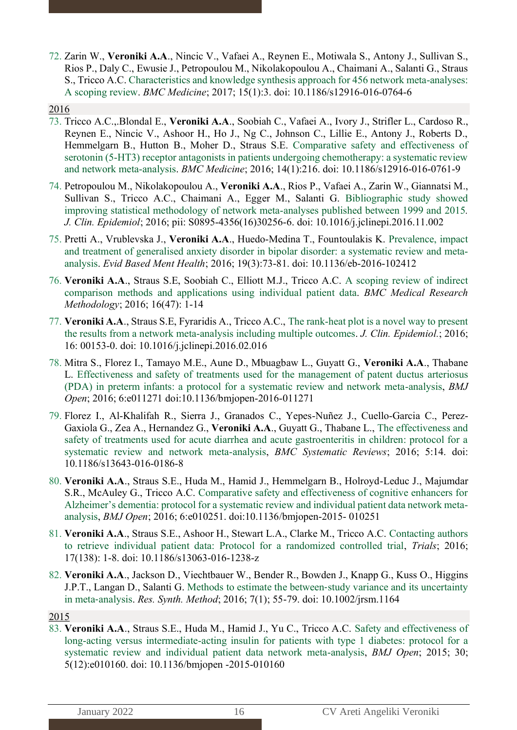72. Zarin W., **Veroniki A.A**., Nincic V., Vafaei A., Reynen E., Motiwala S., Antony J., Sullivan S., Rios P., Daly C., Ewusie J., Petropoulou M., Nikolakopoulou A., Chaimani A., Salanti G., Straus S., Tricco A.C. Characteristics and knowledge synthesis approach for 456 network meta-analyses: A scoping review. *BMC Medicine*; 2017; 15(1):3. doi: 10.1186/s12916-016-0764-6

#### 2016

- 73. Tricco A.C.,.Blondal E., **Veroniki A.A**., Soobiah C., Vafaei A., Ivory J., Strifler L., Cardoso R., Reynen E., Nincic V., Ashoor H., Ho J., Ng C., Johnson C., Lillie E., Antony J., Roberts D., Hemmelgarn B., Hutton B., Moher D., Straus S.E. Comparative safety and effectiveness of serotonin (5-HT3) receptor antagonists in patients undergoing chemotherapy: a systematic review and network meta-analysis. *BMC Medicine*; 2016; 14(1):216. doi: 10.1186/s12916-016-0761-9
- 74. Petropoulou M., Nikolakopoulou A., **Veroniki A.A**., Rios P., Vafaei A., Zarin W., Giannatsi M., Sullivan S., Tricco A.C., Chaimani A., Egger M., Salanti G. Bibliographic study showed improving statistical methodology of network meta-analyses published between 1999 and 2015*. J. Clin. Epidemiol*; 2016; pii: S0895-4356(16)30256-6. doi: 10.1016/j.jclinepi.2016.11.002
- 75. Pretti A., Vrublevska J., **Veroniki A.A**., Huedo-Medina T., Fountoulakis K. Prevalence, impact and treatment of generalised anxiety disorder in bipolar disorder: a systematic review and metaanalysis. *Evid Based Ment Health*; 2016; 19(3):73-81. doi: 10.1136/eb-2016-102412
- 76. **Veroniki A.A**., Straus S.E, Soobiah C., Elliott M.J., Tricco A.C. A scoping review of indirect comparison methods and applications using individual patient data. *BMC Medical Research Methodology*; 2016; 16(47): 1-14
- 77. **Veroniki A.A**., Straus S.E, Fyraridis A., Tricco A.C., The rank-heat plot is a novel way to present the results from a network meta-analysis including multiple outcomes. *J. Clin. Epidemiol.*; 2016; 16: 00153-0. doi: 10.1016/j.jclinepi.2016.02.016
- 78. Mitra S., Florez I., Tamayo M.E., Aune D., Mbuagbaw L., Guyatt G., **Veroniki A.A**., Thabane L. Effectiveness and safety of treatments used for the management of patent ductus arteriosus (PDA) in preterm infants: a protocol for a systematic review and network meta-analysis, *BMJ Open*; 2016; 6:e011271 doi:10.1136/bmjopen-2016-011271
- 79. Florez I., Al-Khalifah R., Sierra J., Granados C., Yepes-Nuñez J., Cuello-Garcia C., Perez-Gaxiola G., Zea A., Hernandez G., **Veroniki A.A**., Guyatt G., Thabane L., The effectiveness and safety of treatments used for acute diarrhea and acute gastroenteritis in children: protocol for a systematic review and network meta-analysis, *BMC Systematic Reviews*; 2016; 5:14. doi: 10.1186/s13643-016-0186-8
- 80. **Veroniki A.A**., Straus S.E., Huda M., Hamid J., Hemmelgarn B., Holroyd-Leduc J., Majumdar S.R., McAuley G., Tricco A.C. Comparative safety and effectiveness of cognitive enhancers for Alzheimer's dementia: protocol for a systematic review and individual patient data network metaanalysis, *BMJ Open*; 2016; 6:e010251. doi:10.1136/bmjopen-2015- 010251
- 81. **Veroniki A.A**., Straus S.E., Ashoor H., Stewart L.A., Clarke M., Tricco A.C. Contacting authors to retrieve individual patient data: Protocol for a randomized controlled trial, *Trials*; 2016; 17(138): 1-8. doi: 10.1186/s13063-016-1238-z
- 82. **Veroniki A.A**., Jackson D., Viechtbauer W., Bender R., Bowden J., Knapp G., Kuss O., Higgins J.P.T., Langan D., Salanti G. Methods to estimate the between‐study variance and its uncertainty in meta‐analysis. *Res. Synth. Method*; 2016; 7(1); 55-79. doi: 10.1002/jrsm.1164

#### 2015

83. **Veroniki A.A**., Straus S.E., Huda M., Hamid J., Yu C., Tricco A.C. Safety and effectiveness of long-acting versus intermediate-acting insulin for patients with type 1 diabetes: protocol for a systematic review and individual patient data network meta-analysis, *BMJ Open*; 2015; 30; 5(12):e010160. doi: 10.1136/bmjopen -2015-010160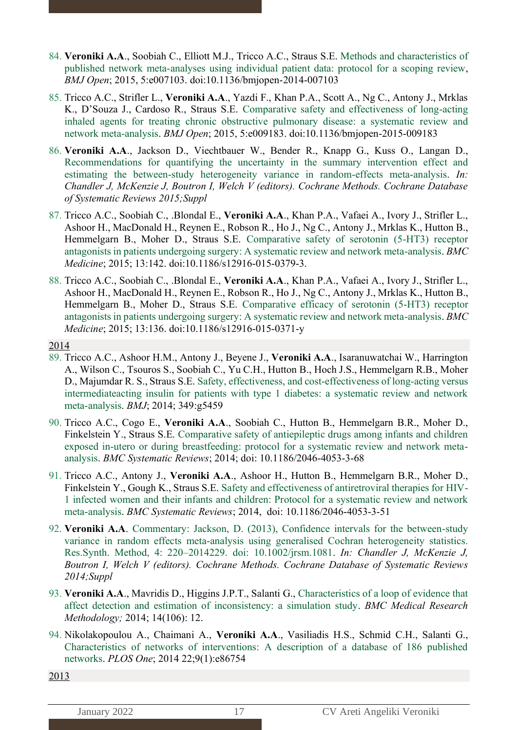- 84. **Veroniki A.A**., Soobiah C., Elliott M.J., Tricco A.C., Straus S.E. Methods and characteristics of published network meta-analyses using individual patient data: protocol for a scoping review, *BMJ Open*; 2015, 5:e007103. doi:10.1136/bmjopen-2014-007103
- 85. Tricco A.C., Strifler L., **Veroniki A.A**., Yazdi F., Khan P.A., Scott A., Ng C., Antony J., Mrklas K., D'Souza J., Cardoso R., Straus S.E. Comparative safety and effectiveness of long-acting inhaled agents for treating chronic obstructive pulmonary disease: a systematic review and network meta-analysis. *BMJ Open*; 2015, 5:e009183. doi:10.1136/bmjopen-2015-009183
- 86. **Veroniki A.A**., Jackson D., Viechtbauer W., Bender R., Knapp G., Kuss O., Langan D., Recommendations for quantifying the uncertainty in the summary intervention effect and estimating the between-study heterogeneity variance in random-effects meta-analysis. *In: Chandler J, McKenzie J, Boutron I, Welch V (editors). Cochrane Methods. Cochrane Database of Systematic Reviews 2015;Suppl*
- 87. Tricco A.C., Soobiah C., .Blondal E., **Veroniki A.A**., Khan P.A., Vafaei A., Ivory J., Strifler L., Ashoor H., MacDonald H., Reynen E., Robson R., Ho J., Ng C., Antony J., Mrklas K., Hutton B., Hemmelgarn B., Moher D., Straus S.E. Comparative safety of serotonin (5-HT3) receptor antagonists in patients undergoing surgery: A systematic review and network meta-analysis. *BMC Medicine*; 2015; 13:142. doi:10.1186/s12916-015-0379-3.
- 88. Tricco A.C., Soobiah C., .Blondal E., **Veroniki A.A**., Khan P.A., Vafaei A., Ivory J., Strifler L., Ashoor H., MacDonald H., Reynen E., Robson R., Ho J., Ng C., Antony J., Mrklas K., Hutton B., Hemmelgarn B., Moher D., Straus S.E. Comparative efficacy of serotonin (5-HT3) receptor antagonists in patients undergoing surgery: A systematic review and network meta-analysis. *BMC Medicine*; 2015; 13:136. doi:10.1186/s12916-015-0371-y
- 2014
- 89. Tricco A.C., Ashoor H.M., Antony J., Beyene J., **Veroniki A.A**., Isaranuwatchai W., Harrington A., Wilson C., Tsouros S., Soobiah C., Yu C.H., Hutton B., Hoch J.S., Hemmelgarn R.B., Moher D., Majumdar R. S., Straus S.E. Safety, effectiveness, and cost-effectiveness of long-acting versus intermediateacting insulin for patients with type 1 diabetes: a systematic review and network meta-analysis. *BMJ*; 2014; 349:g5459
- 90. Tricco A.C., Cogo E., **Veroniki A.A**., Soobiah C., Hutton B., Hemmelgarn B.R., Moher D., Finkelstein Y., Straus S.E. Comparative safety of antiepileptic drugs among infants and children exposed in-utero or during breastfeeding: protocol for a systematic review and network metaanalysis. *BMC Systematic Reviews*; 2014; doi: 10.1186/2046-4053-3-68
- 91. Tricco A.C., Antony J., **Veroniki A.A**., Ashoor H., Hutton B., Hemmelgarn B.R., Moher D., Finkelstein Y., Gough K., Straus S.E. Safety and effectiveness of antiretroviral therapies for HIV-1 infected women and their infants and children: Protocol for a systematic review and network meta-analysis. *BMC Systematic Reviews*; 2014, doi: 10.1186/2046-4053-3-51
- 92. **Veroniki A.A**. Commentary: Jackson, D. (2013), Confidence intervals for the between-study variance in random effects meta-analysis using generalised Cochran heterogeneity statistics. Res.Synth. Method, 4: 220–2014229. doi: 10.1002/jrsm.1081. *In: Chandler J, McKenzie J, Boutron I, Welch V (editors). Cochrane Methods. Cochrane Database of Systematic Reviews 2014;Suppl*
- 93. **Veroniki A.A**., Mavridis D., Higgins J.P.T., Salanti G., Characteristics of a loop of evidence that affect detection and estimation of inconsistency: a simulation study. *BMC Medical Research Methodology;* 2014; 14(106): 12.
- 94. Nikolakopoulou A., Chaimani A., **Veroniki A.A**., Vasiliadis H.S., Schmid C.H., Salanti G., Characteristics of networks of interventions: A description of a database of 186 published networks. *PLOS One*; 2014 22;9(1):e86754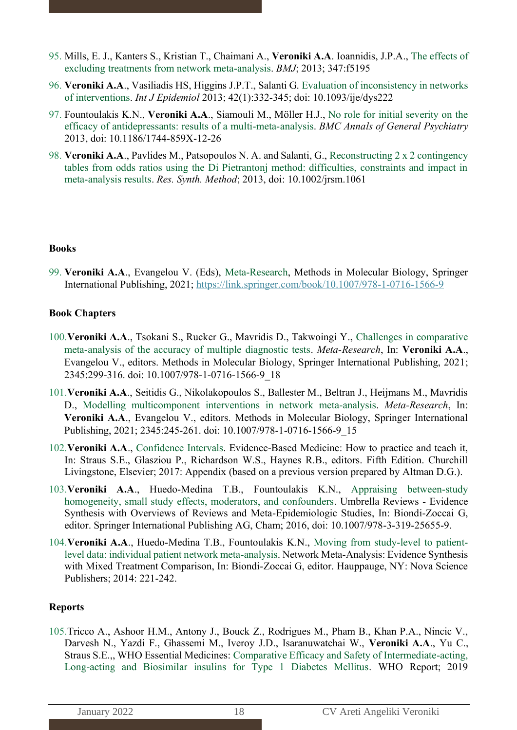- 95. Mills, E. J., Kanters S., Kristian T., Chaimani A., **Veroniki A.A**. Ioannidis, J.P.A., The effects of excluding treatments from network meta-analysis. *BMJ*; 2013; 347:f5195
- 96. **Veroniki A.A**., Vasiliadis HS, Higgins J.P.T., Salanti G. Evaluation of inconsistency in networks of interventions. *Int J Epidemiol* 2013; 42(1):332-345; doi: 10.1093/ije/dys222
- 97. [Fountoulakis K.N.](http://www.ncbi.nlm.nih.gov/pubmed?term=Fountoulakis%20KN%5BAuthor%5D&cauthor=true&cauthor_uid=23941527), **[Veroniki A.A](http://www.ncbi.nlm.nih.gov/pubmed?term=Veroniki%20AA%5BAuthor%5D&cauthor=true&cauthor_uid=23941527)**., [Siamouli M.](http://www.ncbi.nlm.nih.gov/pubmed?term=Siamouli%20M%5BAuthor%5D&cauthor=true&cauthor_uid=23941527), [Möller H.J.](http://www.ncbi.nlm.nih.gov/pubmed?term=M%C3%B6ller%20HJ%5BAuthor%5D&cauthor=true&cauthor_uid=23941527), No role for initial severity on the efficacy of antidepressants: results of a multi-meta-analysis. *BMC Annals of General Psychiatry* 2013, doi: 10.1186/1744-859X-12-26
- 98. **Veroniki A.A**., Pavlides M., Patsopoulos N. A. and Salanti, G., Reconstructing 2 x 2 contingency tables from odds ratios using the Di Pietrantonj method: difficulties, constraints and impact in meta-analysis results. *Res. Synth. Method*; 2013, doi: 10.1002/jrsm.1061

#### **Books**

99. **Veroniki A.A**., Evangelou V. (Eds), Meta-Research, Methods in Molecular Biology, Springer International Publishing, 2021;<https://link.springer.com/book/10.1007/978-1-0716-1566-9>

#### **Book Chapters**

- 100.**Veroniki A.A**., Tsokani S., Rucker G., Mavridis D., Takwoingi Y., Challenges in comparative meta-analysis of the accuracy of multiple diagnostic tests. *Meta-Research*, In: **Veroniki A.A**., Evangelou V., editors. Methods in Molecular Biology, Springer International Publishing, 2021; 2345:299-316. doi: 10.1007/978-1-0716-1566-9\_18
- 101.**Veroniki A.A**., Seitidis G., Nikolakopoulos S., Ballester M., Beltran J., Heijmans M., Mavridis D., Modelling multicomponent interventions in network meta-analysis. *Meta-Research*, In: **Veroniki A.A**., Evangelou V., editors. Methods in Molecular Biology, Springer International Publishing, 2021; 2345:245-261. doi: 10.1007/978-1-0716-1566-9\_15
- 102.**Veroniki A.A**., Confidence Intervals. Evidence-Based Medicine: How to practice and teach it, In: Straus S.E., Glasziou P., Richardson W.S., Haynes R.B., editors. Fifth Edition. Churchill Livingstone, Elsevier; 2017: Appendix (based on a previous version prepared by Altman D.G.).
- 103.**Veroniki A.A**., Huedo-Medina T.B., Fountoulakis K.N., Appraising between-study homogeneity, small study effects, moderators, and confounders. Umbrella Reviews - Evidence Synthesis with Overviews of Reviews and Meta-Epidemiologic Studies, In: Biondi-Zoccai G, editor. Springer International Publishing AG, Cham; 2016, doi: 10.1007/978-3-319-25655-9.
- 104.**Veroniki A.A**., Huedo-Medina T.B., Fountoulakis K.N., Moving from study-level to patientlevel data: individual patient network meta-analysis. Network Meta-Analysis: Evidence Synthesis with Mixed Treatment Comparison, In: Biondi-Zoccai G, editor. Hauppauge, NY: Nova Science Publishers; 2014: 221-242.

### **Reports**

105.Tricco A., Ashoor H.M., Antony J., Bouck Z., Rodrigues M., Pham B., Khan P.A., Nincic V., Darvesh N., Yazdi F., Ghassemi M., Iveroy J.D., Isaranuwatchai W., **Veroniki A.A**., Yu C., Straus S.E.,, WHO Essential Medicines: Comparative Efficacy and Safety of Intermediate-acting, Long-acting and Biosimilar insulins for Type 1 Diabetes Mellitus. WHO Report; 2019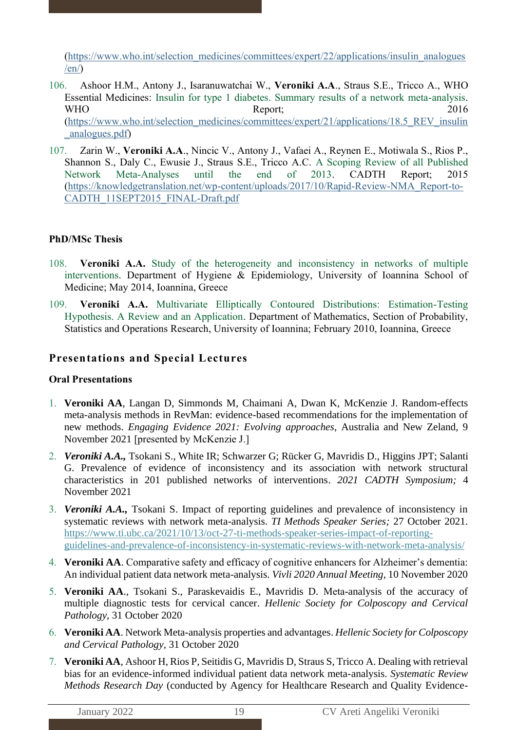[\(https://www.who.int/selection\\_medicines/committees/expert/22/applications/insulin\\_analogues](https://www.who.int/selection_medicines/committees/expert/22/applications/insulin_analogues/en/)  $/en$ 

- 106. Ashoor H.M., Antony J., Isaranuwatchai W., **Veroniki A.A**., Straus S.E., Tricco A., WHO Essential Medicines: Insulin for type 1 diabetes. Summary results of a network meta-analysis. WHO Report; 2016 [\(https://www.who.int/selection\\_medicines/committees/expert/21/applications/18.5\\_REV\\_insulin](https://www.who.int/selection_medicines/committees/expert/21/applications/18.5_REV_insulin_analogues.pdf) [\\_analogues.pdf\)](https://www.who.int/selection_medicines/committees/expert/21/applications/18.5_REV_insulin_analogues.pdf)
- 107. Zarin W., **Veroniki A.A**., Nincic V., Antony J., Vafaei A., Reynen E., Motiwala S., Rios P., Shannon S., Daly C., Ewusie J., Straus S.E., Tricco A.C. A Scoping Review of all Published Network Meta-Analyses until the end of 2013. CADTH Report; 2015 [\(https://knowledgetranslation.net/wp-content/uploads/2017/10/Rapid-Review-NMA\\_Report-to-](https://knowledgetranslation.net/wp-content/uploads/2017/10/Rapid-Review-NMA_Report-to-CADTH_11SEPT2015_FINAL-Draft.pdf)[CADTH\\_11SEPT2015\\_FINAL-Draft.pdf](https://knowledgetranslation.net/wp-content/uploads/2017/10/Rapid-Review-NMA_Report-to-CADTH_11SEPT2015_FINAL-Draft.pdf)

# **PhD/MSc Thesis**

- 108. **Veroniki A.A.** Study of the heterogeneity and inconsistency in networks of multiple interventions. Department of Hygiene & Epidemiology, University of Ioannina School of Medicine; May 2014, Ioannina, Greece
- 109. **Veroniki A.A.** Multivariate Elliptically Contoured Distributions: Estimation-Testing Hypothesis. A Review and an Application. Department of Mathematics, Section of Probability, Statistics and Operations Research, University of Ioannina; February 2010, Ioannina, Greece

# **Presentations and Special Lectures**

# **Oral Presentations**

- 1. **Veroniki AA**, Langan D, Simmonds M, Chaimani A, Dwan K, McKenzie J. Random-effects meta-analysis methods in RevMan: evidence-based recommendations for the implementation of new methods. *Engaging Evidence 2021: Evolving approaches*, Australia and New Zeland, 9 November 2021 [presented by McKenzie J.]
- 2. *Veroniki A.A.,* Tsokani S., White IR; Schwarzer G; Rücker G, Mavridis D., Higgins JPT; Salanti G. Prevalence of evidence of inconsistency and its association with network structural characteristics in 201 published networks of interventions. *2021 CADTH Symposium;* 4 November 2021
- 3. *Veroniki A.A.,* Tsokani S. Impact of reporting guidelines and prevalence of inconsistency in systematic reviews with network meta-analysis. *TI Methods Speaker Series;* 27 October 2021. [https://www.ti.ubc.ca/2021/10/13/oct-27-ti-methods-speaker-series-impact-of-reporting](https://www.ti.ubc.ca/2021/10/13/oct-27-ti-methods-speaker-series-impact-of-reporting-guidelines-and-prevalence-of-inconsistency-in-systematic-reviews-with-network-meta-analysis/)[guidelines-and-prevalence-of-inconsistency-in-systematic-reviews-with-network-meta-analysis/](https://www.ti.ubc.ca/2021/10/13/oct-27-ti-methods-speaker-series-impact-of-reporting-guidelines-and-prevalence-of-inconsistency-in-systematic-reviews-with-network-meta-analysis/)
- 4. **Veroniki AA**. Comparative safety and efficacy of cognitive enhancers for Alzheimer's dementia: An individual patient data network meta-analysis. *Vivli 2020 Annual Meeting*, 10 November 2020
- 5. **Veroniki AA**., Tsokani S., Paraskevaidis E., Mavridis D. Μeta-analysis of the accuracy of multiple diagnostic tests for cervical cancer. *Hellenic Society for Colposcopy and Cervical Pathology*, 31 October 2020
- 6. **Veroniki AA**. Network Meta-analysis properties and advantages. *Hellenic Society for Colposcopy and Cervical Pathology*, 31 October 2020
- 7. **Veroniki AA**, Ashoor H, Rios P, Seitidis G, Mavridis D, Straus S, Tricco A. Dealing with retrieval bias for an evidence-informed individual patient data network meta-analysis. *Systematic Review Methods Research Day* (conducted by Agency for Healthcare Research and Quality Evidence-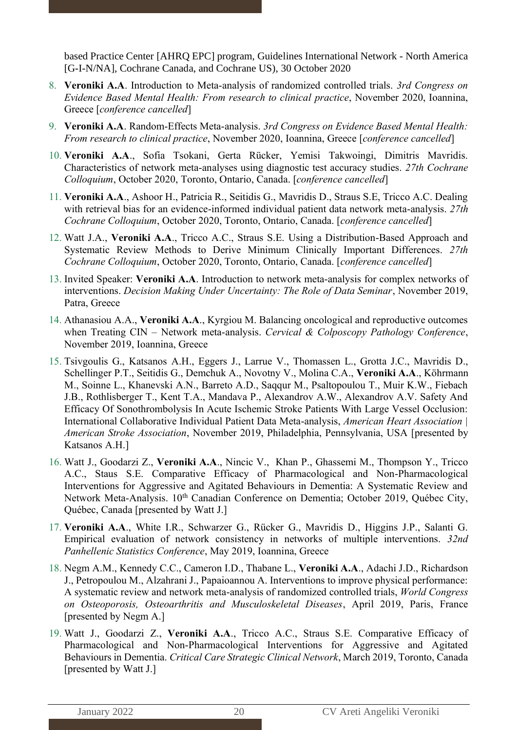based Practice Center [AHRQ EPC] program, Guidelines International Network - North America [G-I-N/NA], Cochrane Canada, and Cochrane US), 30 October 2020

- 8. **Veroniki A.A**. Introduction to Meta-analysis of randomized controlled trials. *3rd Congress on Evidence Based Mental Health: From research to clinical practice*, November 2020, Ioannina, Greece [*conference cancelled*]
- 9. **Veroniki A.A**. Random-Effects Meta-analysis. *3rd Congress on Evidence Based Mental Health: From research to clinical practice*, November 2020, Ioannina, Greece [*conference cancelled*]
- 10. **Veroniki A.A**., Sofia Tsokani, Gerta Rücker, Yemisi Takwoingi, Dimitris Mavridis. Characteristics of network meta-analyses using diagnostic test accuracy studies. *27th Cochrane Colloquium*, October 2020, Toronto, Ontario, Canada. [*conference cancelled*]
- 11. **Veroniki A.A**., Ashoor H., Patricia R., Seitidis G., Mavridis D., Straus S.E, Tricco A.C. Dealing with retrieval bias for an evidence-informed individual patient data network meta-analysis. *27th Cochrane Colloquium*, October 2020, Toronto, Ontario, Canada. [*conference cancelled*]
- 12. Watt J.A., **Veroniki A.A**., Tricco A.C., Straus S.E. Using a Distribution-Based Approach and Systematic Review Methods to Derive Minimum Clinically Important Differences. *27th Cochrane Colloquium*, October 2020, Toronto, Ontario, Canada. [*conference cancelled*]
- 13. Invited Speaker: **Veroniki A.A**. Introduction to network meta-analysis for complex networks of interventions. *Decision Making Under Uncertainty: The Role of Data Seminar*, November 2019, Patra, Greece
- 14. Athanasiou A.A., **Veroniki A.A**., Kyrgiou M. Balancing oncological and reproductive outcomes when Treating CIN – Network meta-analysis. *Cervical & Colposcopy Pathology Conference*, November 2019, Ioannina, Greece
- 15. Tsivgoulis G., Katsanos A.H., Eggers J., Larrue V., Thomassen L., Grotta J.C., Mavridis D., Schellinger P.T., Seitidis G., Demchuk A., Novotny V., Molina C.A., **Veroniki A.A**., Köhrmann M., Soinne L., Khanevski A.N., Barreto A.D., Saqqur M., Psaltopoulou T., Muir K.W., Fiebach J.B., Rothlisberger T., Kent T.A., Mandava P., Alexandrov A.W., Alexandrov A.V. Safety And Efficacy Of Sonothrombolysis In Acute Ischemic Stroke Patients With Large Vessel Occlusion: International Collaborative Individual Patient Data Meta-analysis, *American Heart Association | American Stroke Association*, November 2019, Philadelphia, Pennsylvania, USA [presented by Katsanos A.H.]
- 16. Watt J., Goodarzi Z., **Veroniki A.A**., Nincic V., Khan P., Ghassemi M., Thompson Y., Tricco A.C., Staus S.E. Comparative Efficacy of Pharmacological and Non-Pharmacological Interventions for Aggressive and Agitated Behaviours in Dementia: A Systematic Review and Network Meta-Analysis. 10<sup>th</sup> Canadian Conference on Dementia; October 2019, Ouébec City, Québec, Canada [presented by Watt J.]
- 17. **Veroniki A.A**., White I.R., Schwarzer G., Rücker G., Mavridis D., Higgins J.P., Salanti G. Empirical evaluation of network consistency in networks of multiple interventions. *32nd Panhellenic Statistics Conference*, May 2019, Ioannina, Greece
- 18. Negm A.M., Kennedy C.C., Cameron I.D., Thabane L., **Veroniki A.A**., Adachi J.D., Richardson J., Petropoulou M., Alzahrani J., Papaioannou A. Interventions to improve physical performance: A systematic review and network meta-analysis of randomized controlled trials, *World Congress on Osteoporosis, Osteoarthritis and Musculoskeletal Diseases*, April 2019, Paris, France [presented by Negm A.]
- 19. Watt J., Goodarzi Z., **Veroniki A.A**., Tricco A.C., Straus S.E. Comparative Efficacy of Pharmacological and Non-Pharmacological Interventions for Aggressive and Agitated Behaviours in Dementia. *Critical Care Strategic Clinical Network*, March 2019, Toronto, Canada [presented by Watt J.]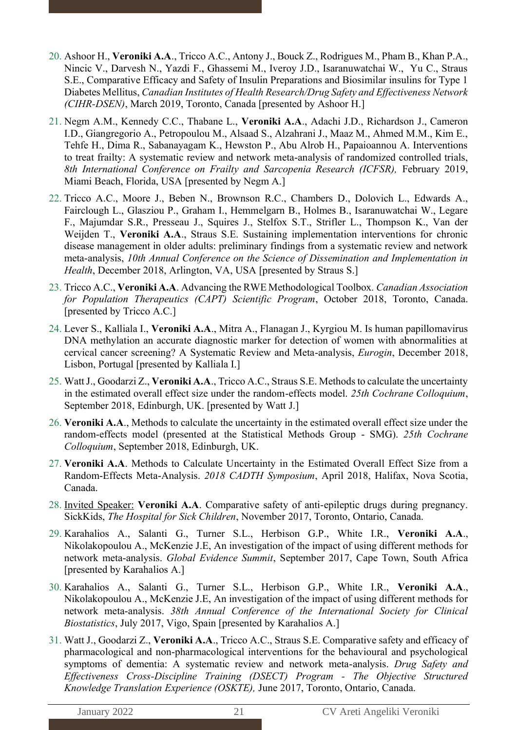- 20. Ashoor H., **Veroniki A.A**., Tricco A.C., Antony J., Bouck Z., Rodrigues M., Pham B., Khan P.A., Nincic V., Darvesh N., Yazdi F., Ghassemi M., Iveroy J.D., Isaranuwatchai W., Yu C., Straus S.E., Comparative Efficacy and Safety of Insulin Preparations and Biosimilar insulins for Type 1 Diabetes Mellitus, *Canadian Institutes of Health Research/Drug Safety and Effectiveness Network (CIHR-DSEN)*, March 2019, Toronto, Canada [presented by Ashoor H.]
- 21. Negm A.M., Kennedy C.C., Thabane L., **Veroniki A.A**., Adachi J.D., Richardson J., Cameron I.D., Giangregorio A., Petropoulou M., Alsaad S., Alzahrani J., Maaz M., Ahmed M.M., Kim E., Tehfe H., Dima R., Sabanayagam K., Hewston P., Abu Alrob H., Papaioannou A. Interventions to treat frailty: A systematic review and network meta-analysis of randomized controlled trials, *8th International Conference on Frailty and Sarcopenia Research (ICFSR),* February 2019, Miami Beach, Florida, USA [presented by Negm A.]
- 22. Tricco A.C., Moore J., Beben N., Brownson R.C., Chambers D., Dolovich L., Edwards A., Fairclough L., Glasziou P., Graham I., Hemmelgarn B., Holmes B., Isaranuwatchai W., Legare F., Majumdar S.R., Presseau J., Squires J., Stelfox S.T., Strifler L., Thompson K., Van der Weijden T., **Veroniki A.A**., Straus S.E. Sustaining implementation interventions for chronic disease management in older adults: preliminary findings from a systematic review and network meta-analysis, *10th Annual Conference on the Science of Dissemination and Implementation in Health*, December 2018, Arlington, VA, USA [presented by Straus S.]
- 23. Tricco A.C., **Veroniki A.A**. Advancing the RWE Methodological Toolbox*. Canadian Association for Population Therapeutics (CAPT) Scientific Program*, October 2018, Toronto, Canada. [presented by Tricco A.C.]
- 24. Lever S., Kalliala I., **Veroniki A.A**., Mitra A., Flanagan J., Kyrgiou M. Is human papillomavirus DNA methylation an accurate diagnostic marker for detection of women with abnormalities at cervical cancer screening? A Systematic Review and Meta-analysis, *Eurogin*, December 2018, Lisbon, Portugal [presented by Kalliala I.]
- 25. Watt J., Goodarzi Z., **Veroniki A.A**., Tricco A.C., Straus S.E. Methods to calculate the uncertainty in the estimated overall effect size under the random-effects model. *25th Cochrane Colloquium*, September 2018, Edinburgh, UK. [presented by Watt J.]
- 26. **Veroniki A.A**., Methods to calculate the uncertainty in the estimated overall effect size under the random-effects model (presented at the Statistical Methods Group - SMG). *25th Cochrane Colloquium*, September 2018, Edinburgh, UK.
- 27. **Veroniki A.A**. Methods to Calculate Uncertainty in the Estimated Overall Effect Size from a Random-Effects Meta-Analysis. *2018 CADTH Symposium*, April 2018, Halifax, Nova Scotia, Canada.
- 28. Invited Speaker: **Veroniki A.A**. Comparative safety of anti-epileptic drugs during pregnancy. SickKids, *The Hospital for Sick Children*, November 2017, Toronto, Ontario, Canada.
- 29. Karahalios A., Salanti G., Turner S.L., Herbison G.P., White I.R., **Veroniki A.A**., Nikolakopoulou A., McKenzie J.E, An investigation of the impact of using different methods for network meta-analysis. *Global Evidence Summit*, September 2017, Cape Town, South Africa [presented by Karahalios A.]
- 30. Karahalios A., Salanti G., Turner S.L., Herbison G.P., White I.R., **Veroniki A.A**., Nikolakopoulou A., McKenzie J.E, An investigation of the impact of using different methods for network meta-analysis. *38th Annual Conference of the International Society for Clinical Biostatistics*, July 2017, Vigo, Spain [presented by Karahalios A.]
- 31. Watt J., Goodarzi Z., **Veroniki A.A**., Tricco A.C., Straus S.E. Comparative safety and efficacy of pharmacological and non-pharmacological interventions for the behavioural and psychological symptoms of dementia: A systematic review and network meta-analysis. *Drug Safety and Effectiveness Cross-Discipline Training (DSECT) Program - The Objective Structured Knowledge Translation Experience (OSKTE),* June 2017, Toronto, Ontario, Canada.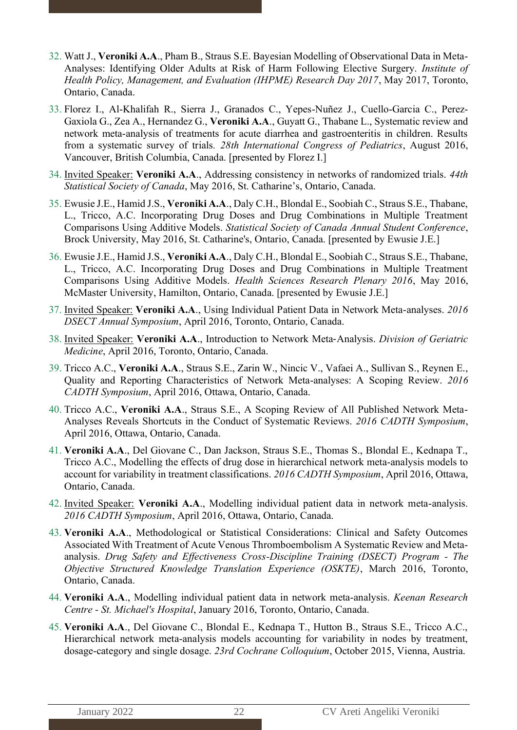- 32. Watt J., **Veroniki A.A**., Pham B., Straus S.E. Bayesian Modelling of Observational Data in Meta-Analyses: Identifying Older Adults at Risk of Harm Following Elective Surgery. *Institute of Health Policy, Management, and Evaluation (IHPME) Research Day 2017*, May 2017, Toronto, Ontario, Canada.
- 33. Florez I., Al-Khalifah R., Sierra J., Granados C., Yepes-Nuñez J., Cuello-Garcia C., Perez-Gaxiola G., Zea A., Hernandez G., **Veroniki A.A**., Guyatt G., Thabane L., Systematic review and network meta-analysis of treatments for acute diarrhea and gastroenteritis in children. Results from a systematic survey of trials*. 28th International Congress of Pediatrics*, August 2016, Vancouver, British Columbia, Canada. [presented by Florez I.]
- 34. Invited Speaker: **Veroniki A.A**., Addressing consistency in networks of randomized trials. *44th Statistical Society of Canada*, May 2016, St. Catharine's, Ontario, Canada.
- 35. Ewusie J.E., Hamid J.S., **Veroniki A.A**., Daly C.H., Blondal E., Soobiah C., Straus S.E., Thabane, L., Tricco, A.C. Incorporating Drug Doses and Drug Combinations in Multiple Treatment Comparisons Using Additive Models. *Statistical Society of Canada Annual Student Conference*, Brock University, May 2016, St. Catharine's, Ontario, Canada. [presented by Ewusie J.E.]
- 36. Ewusie J.E., Hamid J.S., **Veroniki A.A**., Daly C.H., Blondal E., Soobiah C., Straus S.E., Thabane, L., Tricco, A.C. Incorporating Drug Doses and Drug Combinations in Multiple Treatment Comparisons Using Additive Models. *Health Sciences Research Plenary 2016*, May 2016, McMaster University, Hamilton, Ontario, Canada. [presented by Ewusie J.E.]
- 37. Invited Speaker: **Veroniki A.A**., Using Individual Patient Data in Network Meta-analyses. *2016 DSECT Annual Symposium*, April 2016, Toronto, Ontario, Canada.
- 38. Invited Speaker: **Veroniki A.A**., Introduction to Network Meta‐Analysis. *Division of Geriatric Medicine*, April 2016, Toronto, Ontario, Canada.
- 39. Tricco A.C., **Veroniki A.A**., Straus S.E., Zarin W., Nincic V., Vafaei A., Sullivan S., Reynen E., Quality and Reporting Characteristics of Network Meta-analyses: A Scoping Review. *2016 CADTH Symposium*, April 2016, Ottawa, Ontario, Canada.
- 40. Tricco A.C., **Veroniki A.A**., Straus S.E., A Scoping Review of All Published Network Meta-Analyses Reveals Shortcuts in the Conduct of Systematic Reviews. *2016 CADTH Symposium*, April 2016, Ottawa, Ontario, Canada.
- 41. **Veroniki A.A**., Del Giovane C., Dan Jackson, Straus S.E., Thomas S., Blondal E., Kednapa T., Tricco A.C., Modelling the effects of drug dose in hierarchical network meta-analysis models to account for variability in treatment classifications. *2016 CADTH Symposium*, April 2016, Ottawa, Ontario, Canada.
- 42. Invited Speaker: **Veroniki A.A**., Modelling individual patient data in network meta-analysis. *2016 CADTH Symposium*, April 2016, Ottawa, Ontario, Canada.
- 43. **Veroniki A.A**., Methodological or Statistical Considerations: Clinical and Safety Outcomes Associated With Treatment of Acute Venous Thromboembolism A Systematic Review and Metaanalysis. *Drug Safety and Effectiveness Cross-Discipline Training (DSECT) Program - The Objective Structured Knowledge Translation Experience (OSKTE)*, March 2016, Toronto, Ontario, Canada.
- 44. **Veroniki A.A**., Modelling individual patient data in network meta-analysis. *Keenan Research Centre - St. Michael's Hospital*, January 2016, Toronto, Ontario, Canada.
- 45. **Veroniki A.A**., Del Giovane C., Blondal E., Kednapa T., Hutton B., Straus S.E., Tricco A.C., Hierarchical network meta-analysis models accounting for variability in nodes by treatment, dosage-category and single dosage. *23rd Cochrane Colloquium*, October 2015, Vienna, Austria.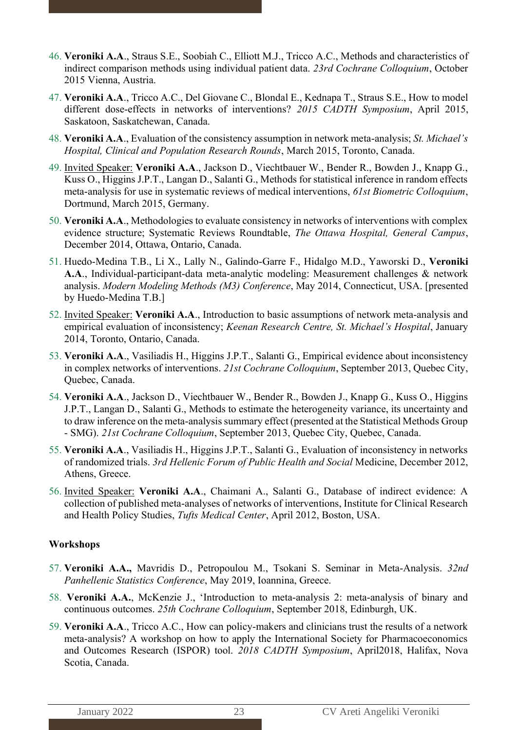- 46. **Veroniki A.A**., Straus S.E., Soobiah C., Elliott M.J., Tricco A.C., Methods and characteristics of indirect comparison methods using individual patient data. *23rd Cochrane Colloquium*, October 2015 Vienna, Austria.
- 47. **Veroniki A.A**., Tricco A.C., Del Giovane C., Blondal E., Kednapa T., Straus S.E., How to model different dose-effects in networks of interventions? *2015 CADTH Symposium*, April 2015, Saskatoon, Saskatchewan, Canada.
- 48. **Veroniki A.A**., Evaluation of the consistency assumption in network meta-analysis; *St. Michael's Hospital, Clinical and Population Research Rounds*, March 2015, Toronto, Canada.
- 49. Invited Speaker: **Veroniki A.A**., Jackson D., Viechtbauer W., Bender R., Bowden J., Knapp G., Kuss O., Higgins J.P.T., Langan D., Salanti G., Methods for statistical inference in random effects meta-analysis for use in systematic reviews of medical interventions, *61st Biometric Colloquium*, Dortmund, March 2015, Germany.
- 50. **Veroniki A.A**., Methodologies to evaluate consistency in networks of interventions with complex evidence structure; Systematic Reviews Roundtable, *The Ottawa Hospital, General Campus*, December 2014, Ottawa, Ontario, Canada.
- 51. Huedo-Medina T.B., Li X., Lally N., Galindo-Garre F., Hidalgo M.D., Yaworski D., **Veroniki A.A**., Individual-participant-data meta-analytic modeling: Measurement challenges & network analysis. *Modern Modeling Methods (M3) Conference*, May 2014, Connecticut, USA. [presented by Huedo-Medina T.B.]
- 52. Invited Speaker: **Veroniki A.A**., Introduction to basic assumptions of network meta-analysis and empirical evaluation of inconsistency; *Keenan Research Centre, St. Michael's Hospital*, January 2014, Toronto, Ontario, Canada.
- 53. **Veroniki A.A**., Vasiliadis H., Higgins J.P.T., Salanti G., Empirical evidence about inconsistency in complex networks of interventions. *21st Cochrane Colloquium*, September 2013, Quebec City, Quebec, Canada.
- 54. **Veroniki A.A**., Jackson D., Viechtbauer W., Bender R., Bowden J., Knapp G., Kuss O., Higgins J.P.T., Langan D., Salanti G., Methods to estimate the heterogeneity variance, its uncertainty and to draw inference on the meta-analysis summary effect (presented at the Statistical Methods Group - SMG). *21st Cochrane Colloquium*, September 2013, Quebec City, Quebec, Canada.
- 55. **Veroniki A.A**., Vasiliadis H., Higgins J.P.T., Salanti G., Evaluation of inconsistency in networks of randomized trials. *3rd Hellenic Forum of Public Health and Social* Medicine, December 2012, Athens, Greece.
- 56. Invited Speaker: **Veroniki A.A**., Chaimani A., Salanti G., Database of indirect evidence: A collection of published meta-analyses of networks of interventions, Institute for Clinical Research and Health Policy Studies, *Tufts Medical Center*, April 2012, Boston, USA.

### **Workshops**

- 57. **Veroniki A.A.,** Mavridis D., Petropoulou M., Tsokani S. Seminar in Meta-Analysis. *32nd Panhellenic Statistics Conference*, May 2019, Ioannina, Greece.
- 58. **Veroniki A.A.**, McKenzie J., 'Introduction to meta-analysis 2: meta-analysis of binary and continuous outcomes. *25th Cochrane Colloquium*, September 2018, Edinburgh, UK.
- 59. **Veroniki A.A**., Tricco A.C., How can policy-makers and clinicians trust the results of a network meta-analysis? A workshop on how to apply the International Society for Pharmacoeconomics and Outcomes Research (ISPOR) tool. *2018 CADTH Symposium*, April2018, Halifax, Nova Scotia, Canada.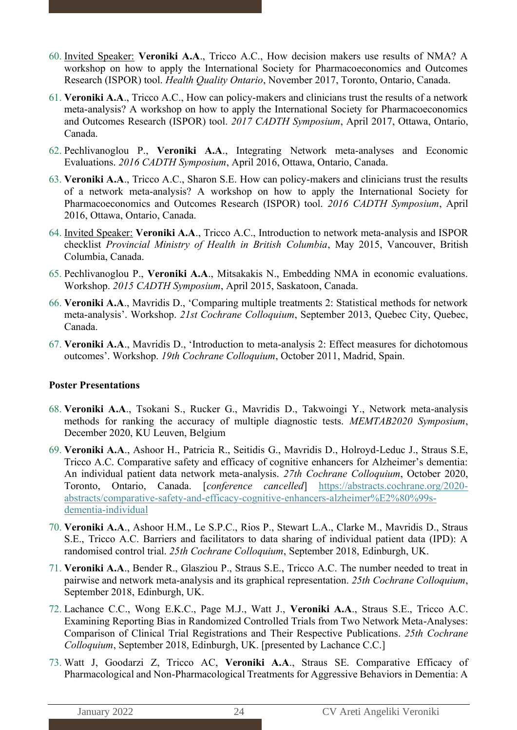- 60. Invited Speaker: **Veroniki A.A**., Tricco A.C., How decision makers use results of NMA? A workshop on how to apply the International Society for Pharmacoeconomics and Outcomes Research (ISPOR) tool. *Health Quality Ontario*, November 2017, Toronto, Ontario, Canada.
- 61. **Veroniki A.A**., Tricco A.C., How can policy-makers and clinicians trust the results of a network meta-analysis? A workshop on how to apply the International Society for Pharmacoeconomics and Outcomes Research (ISPOR) tool. *2017 CADTH Symposium*, April 2017, Ottawa, Ontario, Canada.
- 62. Pechlivanoglou P., **Veroniki A.A**., Integrating Network meta-analyses and Economic Evaluations. *2016 CADTH Symposium*, April 2016, Ottawa, Ontario, Canada.
- 63. **Veroniki A.A**., Tricco A.C., Sharon S.E. How can policy-makers and clinicians trust the results of a network meta-analysis? A workshop on how to apply the International Society for Pharmacoeconomics and Outcomes Research (ISPOR) tool. *2016 CADTH Symposium*, April 2016, Ottawa, Ontario, Canada.
- 64. Invited Speaker: **Veroniki A.A**., Tricco A.C., Introduction to network meta-analysis and ISPOR checklist *Provincial Ministry of Health in British Columbia*, May 2015, Vancouver, British Columbia, Canada.
- 65. Pechlivanoglou P., **Veroniki A.A**., Mitsakakis N., Embedding NMA in economic evaluations. Workshop. *2015 CADTH Symposium*, April 2015, Saskatoon, Canada.
- 66. **Veroniki A.A**., Mavridis D., 'Comparing multiple treatments 2: Statistical methods for network meta-analysis'. Workshop. *21st Cochrane Colloquium*, September 2013, Quebec City, Quebec, Canada.
- 67. **Veroniki A.A**., Mavridis D., 'Introduction to meta-analysis 2: Effect measures for dichotomous outcomes'. Workshop. *19th Cochrane Colloquium*, October 2011, Madrid, Spain.

#### **Poster Presentations**

- 68. **Veroniki A.A**., Tsokani S., Rucker G., Mavridis D., Takwoingi Y., Network meta-analysis methods for ranking the accuracy of multiple diagnostic tests. *MEMTAB2020 Symposium*, December 2020, [KU Leuven, Belgium](https://www.kuleuven.be/register/en/memtab-2020/step1)
- 69. **Veroniki A.A**., Ashoor H., Patricia R., Seitidis G., Mavridis D., Holroyd-Leduc J., Straus S.E, Tricco A.C. Comparative safety and efficacy of cognitive enhancers for Alzheimer's dementia: An individual patient data network meta-analysis. *27th Cochrane Colloquium*, October 2020, Toronto, Ontario, Canada. [*conference cancelled*] [https://abstracts.cochrane.org/2020](https://abstracts.cochrane.org/2020-abstracts/comparative-safety-and-efficacy-cognitive-enhancers-alzheimer%E2%80%99s-dementia-individual) [abstracts/comparative-safety-and-efficacy-cognitive-enhancers-alzheimer%E2%80%99s](https://abstracts.cochrane.org/2020-abstracts/comparative-safety-and-efficacy-cognitive-enhancers-alzheimer%E2%80%99s-dementia-individual)[dementia-individual](https://abstracts.cochrane.org/2020-abstracts/comparative-safety-and-efficacy-cognitive-enhancers-alzheimer%E2%80%99s-dementia-individual)
- 70. **Veroniki A.A**., Ashoor H.M., Le S.P.C., Rios P., Stewart L.A., Clarke M., Mavridis D., Straus S.E., Tricco A.C. Barriers and facilitators to data sharing of individual patient data (IPD): A randomised control trial. *25th Cochrane Colloquium*, September 2018, Edinburgh, UK.
- 71. **Veroniki A.A**., Bender R., Glasziou P., Straus S.E., Tricco A.C. The number needed to treat in pairwise and network meta-analysis and its graphical representation. *25th Cochrane Colloquium*, September 2018, Edinburgh, UK.
- 72. Lachance C.C., Wong E.K.C., Page M.J., Watt J., **Veroniki A.A**., Straus S.E., Tricco A.C. Examining Reporting Bias in Randomized Controlled Trials from Two Network Meta-Analyses: Comparison of Clinical Trial Registrations and Their Respective Publications. *25th Cochrane Colloquium*, September 2018, Edinburgh, UK. [presented by Lachance C.C.]
- 73. Watt J, Goodarzi Z, Tricco AC, **Veroniki A.A**., Straus SE. Comparative Efficacy of Pharmacological and Non-Pharmacological Treatments for Aggressive Behaviors in Dementia: A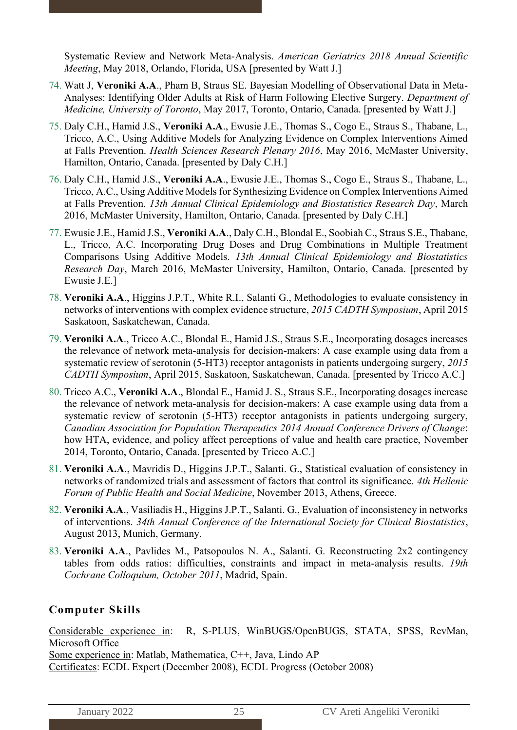Systematic Review and Network Meta-Analysis. *American Geriatrics 2018 Annual Scientific Meeting*, May 2018, Orlando, Florida, USA [presented by Watt J.]

- 74. Watt J, **Veroniki A.A**., Pham B, Straus SE. Bayesian Modelling of Observational Data in Meta-Analyses: Identifying Older Adults at Risk of Harm Following Elective Surgery. *Department of Medicine, University of Toronto*, May 2017, Toronto, Ontario, Canada. [presented by Watt J.]
- 75. Daly C.H., Hamid J.S., **Veroniki A.A**., Ewusie J.E., Thomas S., Cogo E., Straus S., Thabane, L., Tricco, A.C., Using Additive Models for Analyzing Evidence on Complex Interventions Aimed at Falls Prevention. *Health Sciences Research Plenary 2016*, May 2016, McMaster University, Hamilton, Ontario, Canada. [presented by Daly C.H.]
- 76. Daly C.H., Hamid J.S., **Veroniki A.A**., Ewusie J.E., Thomas S., Cogo E., Straus S., Thabane, L., Tricco, A.C., Using Additive Models for Synthesizing Evidence on Complex Interventions Aimed at Falls Prevention. *13th Annual Clinical Epidemiology and Biostatistics Research Day*, March 2016, McMaster University, Hamilton, Ontario, Canada. [presented by Daly C.H.]
- 77. Ewusie J.E., Hamid J.S., **Veroniki A.A**., Daly C.H., Blondal E., Soobiah C., Straus S.E., Thabane, L., Tricco, A.C. Incorporating Drug Doses and Drug Combinations in Multiple Treatment Comparisons Using Additive Models. *13th Annual Clinical Epidemiology and Biostatistics Research Day*, March 2016, McMaster University, Hamilton, Ontario, Canada. [presented by Ewusie J.E.]
- 78. **Veroniki A.A**., Higgins J.P.T., White R.I., Salanti G., Methodologies to evaluate consistency in networks of interventions with complex evidence structure, *2015 CADTH Symposium*, April 2015 Saskatoon, Saskatchewan, Canada.
- 79. **Veroniki A.A**., Tricco A.C., Blondal E., Hamid J.S., Straus S.E., Incorporating dosages increases the relevance of network meta-analysis for decision-makers: A case example using data from a systematic review of serotonin (5-HT3) receptor antagonists in patients undergoing surgery, *2015 CADTH Symposium*, April 2015, Saskatoon, Saskatchewan, Canada. [presented by Tricco A.C.]
- 80. Tricco A.C., **Veroniki A.A**., Blondal E., Hamid J. S., Straus S.E., Incorporating dosages increase the relevance of network meta-analysis for decision-makers: A case example using data from a systematic review of serotonin (5-HT3) receptor antagonists in patients undergoing surgery, *Canadian Association for Population Therapeutics 2014 Annual Conference Drivers of Change*: how HTA, evidence, and policy affect perceptions of value and health care practice, November 2014, Toronto, Ontario, Canada. [presented by Tricco A.C.]
- 81. **Veroniki A.A**., Mavridis D., Higgins J.P.T., Salanti. G., Statistical evaluation of consistency in networks of randomized trials and assessment of factors that control its significance. *4th Hellenic Forum of Public Health and Social Medicine*, November 2013, Athens, Greece.
- 82. **Veroniki A.A**., Vasiliadis H., Higgins J.P.T., Salanti. G., Evaluation of inconsistency in networks of interventions. *34th Annual Conference of the International Society for Clinical Biostatistics*, August 2013, Munich, Germany.
- 83. **Veroniki A.A**., Pavlides M., Patsopoulos N. A., Salanti. G. Reconstructing 2x2 contingency tables from odds ratios: difficulties, constraints and impact in meta-analysis results. *19th Cochrane Colloquium, October 2011*, Madrid, Spain.

# **Computer Skills**

Considerable experience in: R, S-PLUS, WinBUGS/OpenBUGS, STATA, SPSS, RevMan, Microsoft Office Some experience in: Matlab, Mathematica, C++, Java, Lindo AP Certificates: ECDL Expert (December 2008), ECDL Progress (October 2008)